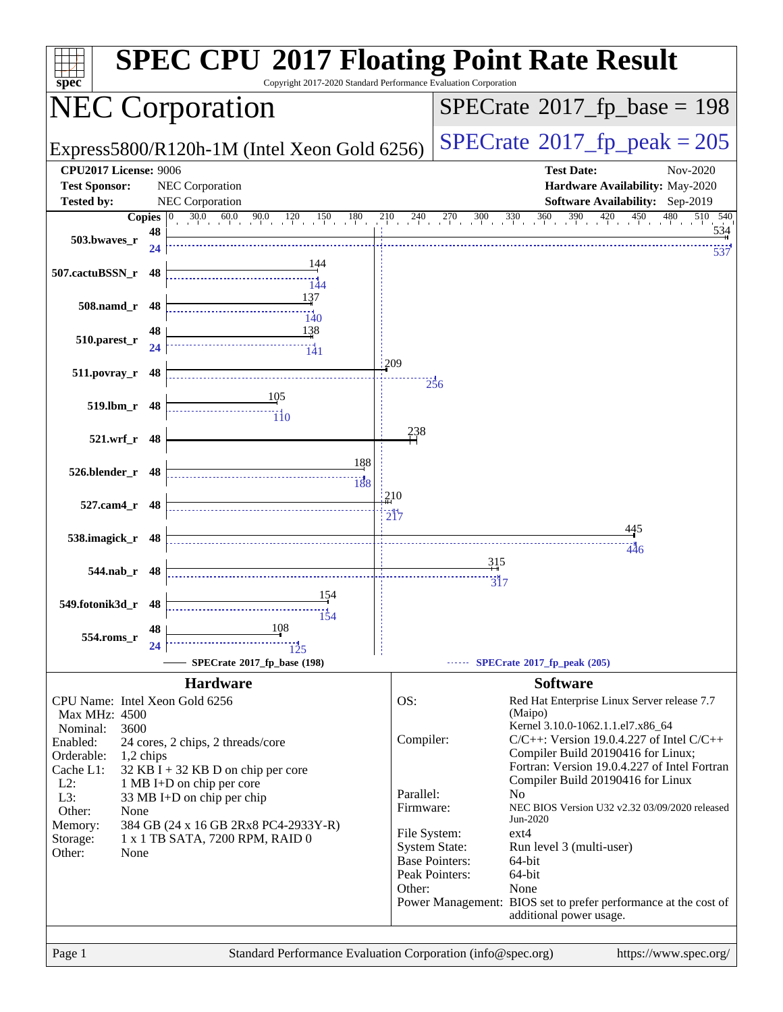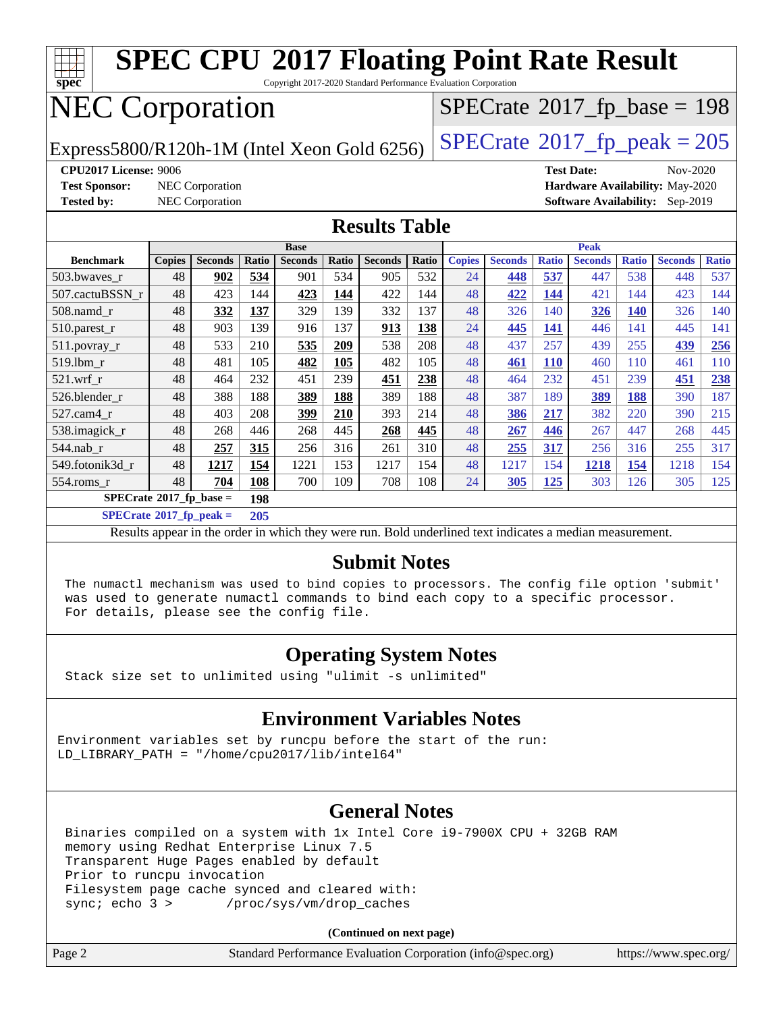| <b>SPEC CPU®2017 Floating Point Rate Result</b><br>Copyright 2017-2020 Standard Performance Evaluation Corporation<br>spec |                                                                  |                 |       |                |       |                |              |               |                |              |                |              |                                 |              |
|----------------------------------------------------------------------------------------------------------------------------|------------------------------------------------------------------|-----------------|-------|----------------|-------|----------------|--------------|---------------|----------------|--------------|----------------|--------------|---------------------------------|--------------|
| <b>NEC Corporation</b><br>$SPECrate$ <sup>®</sup> 2017_fp_base = 198                                                       |                                                                  |                 |       |                |       |                |              |               |                |              |                |              |                                 |              |
| $SPECTate@2017_fp\_peak = 205$<br>Express5800/R120h-1M (Intel Xeon Gold 6256)                                              |                                                                  |                 |       |                |       |                |              |               |                |              |                |              |                                 |              |
|                                                                                                                            | <b>CPU2017 License: 9006</b><br><b>Test Date:</b><br>Nov-2020    |                 |       |                |       |                |              |               |                |              |                |              |                                 |              |
| <b>Test Sponsor:</b>                                                                                                       |                                                                  | NEC Corporation |       |                |       |                |              |               |                |              |                |              | Hardware Availability: May-2020 |              |
| <b>Tested by:</b>                                                                                                          | <b>NEC Corporation</b><br><b>Software Availability:</b> Sep-2019 |                 |       |                |       |                |              |               |                |              |                |              |                                 |              |
| <b>Results Table</b>                                                                                                       |                                                                  |                 |       |                |       |                |              |               |                |              |                |              |                                 |              |
| <b>Peak</b><br><b>Base</b>                                                                                                 |                                                                  |                 |       |                |       |                |              |               |                |              |                |              |                                 |              |
| <b>Benchmark</b>                                                                                                           | <b>Copies</b>                                                    | <b>Seconds</b>  | Ratio | <b>Seconds</b> | Ratio | <b>Seconds</b> | <b>Ratio</b> | <b>Copies</b> | <b>Seconds</b> | <b>Ratio</b> | <b>Seconds</b> | <b>Ratio</b> | <b>Seconds</b>                  | <b>Ratio</b> |
| 503.bwaves_r                                                                                                               | 48                                                               | 902             | 534   | 901            | 534   | 905            | 532          | 24            | 448            | 537          | 447            | 538          | 448                             | 537          |
| 507.cactuBSSN r                                                                                                            | 48                                                               | 423             | 144   | 423            | 144   | 422            | 144          | 48            | 422            | 144          | 421            | 144          | 423                             | 144          |
| 508.namd_r                                                                                                                 | 48                                                               | 332             | 137   | 329            | 139   | 332            | 137          | 48            | 326            | 140          | 326            | <b>140</b>   | 326                             | 140          |
| 510.parest_r                                                                                                               | 48                                                               | 903             | 139   | 916            | 137   | 913            | 138          | 24            | 445            | 141          | 446            | 141          | 445                             | 141          |
| 511.povray_r                                                                                                               | 48                                                               | 533             | 210   | 535            | 209   | 538            | 208          | 48            | 437            | 257          | 439            | 255          | 439                             | 256          |
| 519.1bm_r                                                                                                                  | 48                                                               | 481             | 105   | 482            | 105   | 482            | 105          | 48            | 461            | <b>110</b>   | 460            | 110          | 461                             | 110          |
| $521$ .wrf r                                                                                                               | 48                                                               | 464             | 232   | 451            | 239   | 451            | 238          | 48            | 464            | 232          | 451            | 239          | 451                             | 238          |
| 526.blender r                                                                                                              | 48                                                               | 388             | 188   | 389            | 188   | 389            | 188          | 48            | 387            | 189          | 389            | 188          | 390                             | 187          |
| 527.cam4_r                                                                                                                 | 48                                                               | 403             | 208   | 399            | 210   | 393            | 214          | 48            | 386            | 217          | 382            | 220          | 390                             | 215          |
| 538.imagick_r                                                                                                              | 48                                                               | 268             | 446   | 268            | 445   | 268            | 445          | 48            | 267            | 446          | 267            | 447          | 268                             | 445          |
| 544.nab r                                                                                                                  | 48                                                               | 257             | 315   | 256            | 316   | 261            | 310          | 48            | 255            | 317          | 256            | 316          | 255                             | 317          |
| 549.fotonik3d r                                                                                                            | 48                                                               | 1217            | 154   | 1221           | 153   | 1217           | 154          | 48            | 1217           | 154          | 1218           | 154          | 1218                            | 154          |
| 554.roms_r                                                                                                                 | 48                                                               | 704             | 108   | 700            | 109   | 708            | 108          | 24            | 305            | 125          | 303            | 126          | 305                             | 125          |
| $SPECrate^{\otimes}2017$ _fp_base =<br>198                                                                                 |                                                                  |                 |       |                |       |                |              |               |                |              |                |              |                                 |              |
| $SPECrate^{\circ}2017$ _fp_peak =<br>205                                                                                   |                                                                  |                 |       |                |       |                |              |               |                |              |                |              |                                 |              |
| Results appear in the order in which they were run. Bold underlined text indicates a median measurement.                   |                                                                  |                 |       |                |       |                |              |               |                |              |                |              |                                 |              |

#### **[Submit Notes](http://www.spec.org/auto/cpu2017/Docs/result-fields.html#SubmitNotes)**

 The numactl mechanism was used to bind copies to processors. The config file option 'submit' was used to generate numactl commands to bind each copy to a specific processor. For details, please see the config file.

#### **[Operating System Notes](http://www.spec.org/auto/cpu2017/Docs/result-fields.html#OperatingSystemNotes)**

Stack size set to unlimited using "ulimit -s unlimited"

#### **[Environment Variables Notes](http://www.spec.org/auto/cpu2017/Docs/result-fields.html#EnvironmentVariablesNotes)**

Environment variables set by runcpu before the start of the run: LD\_LIBRARY\_PATH = "/home/cpu2017/lib/intel64"

#### **[General Notes](http://www.spec.org/auto/cpu2017/Docs/result-fields.html#GeneralNotes)**

 Binaries compiled on a system with 1x Intel Core i9-7900X CPU + 32GB RAM memory using Redhat Enterprise Linux 7.5 Transparent Huge Pages enabled by default Prior to runcpu invocation Filesystem page cache synced and cleared with: sync; echo 3 > /proc/sys/vm/drop\_caches

| https://www.spec.org/ |
|-----------------------|
|                       |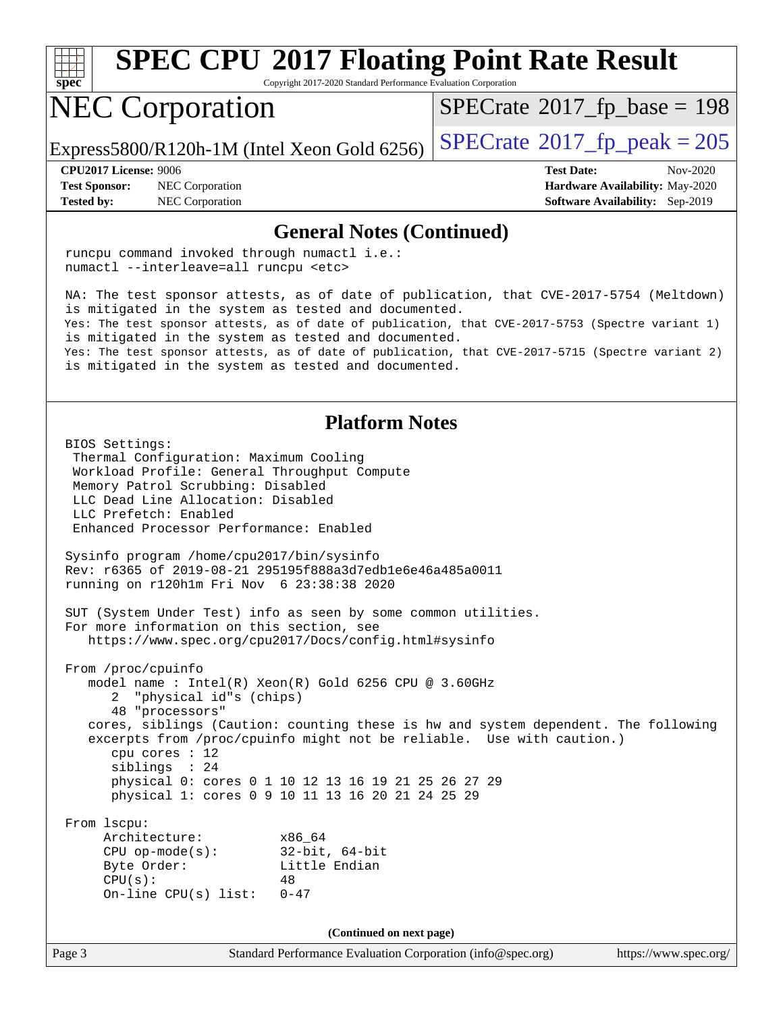

Copyright 2017-2020 Standard Performance Evaluation Corporation

### NEC Corporation

 $SPECTate$ <sup>®</sup>[2017\\_fp\\_base =](http://www.spec.org/auto/cpu2017/Docs/result-fields.html#SPECrate2017fpbase) 198

Express5800/R120h-1M (Intel Xeon Gold 6256)  $\left|$  [SPECrate](http://www.spec.org/auto/cpu2017/Docs/result-fields.html#SPECrate2017fppeak)®[2017\\_fp\\_peak = 2](http://www.spec.org/auto/cpu2017/Docs/result-fields.html#SPECrate2017fppeak)05

BIOS Settings:

**[Test Sponsor:](http://www.spec.org/auto/cpu2017/Docs/result-fields.html#TestSponsor)** NEC Corporation **[Hardware Availability:](http://www.spec.org/auto/cpu2017/Docs/result-fields.html#HardwareAvailability)** May-2020

**[CPU2017 License:](http://www.spec.org/auto/cpu2017/Docs/result-fields.html#CPU2017License)** 9006 **[Test Date:](http://www.spec.org/auto/cpu2017/Docs/result-fields.html#TestDate)** Nov-2020 **[Tested by:](http://www.spec.org/auto/cpu2017/Docs/result-fields.html#Testedby)** NEC Corporation **[Software Availability:](http://www.spec.org/auto/cpu2017/Docs/result-fields.html#SoftwareAvailability)** Sep-2019

#### **[General Notes \(Continued\)](http://www.spec.org/auto/cpu2017/Docs/result-fields.html#GeneralNotes)**

 runcpu command invoked through numactl i.e.: numactl --interleave=all runcpu <etc> NA: The test sponsor attests, as of date of publication, that CVE-2017-5754 (Meltdown) is mitigated in the system as tested and documented. Yes: The test sponsor attests, as of date of publication, that CVE-2017-5753 (Spectre variant 1) is mitigated in the system as tested and documented. Yes: The test sponsor attests, as of date of publication, that CVE-2017-5715 (Spectre variant 2) is mitigated in the system as tested and documented. **[Platform Notes](http://www.spec.org/auto/cpu2017/Docs/result-fields.html#PlatformNotes)**

# Thermal Configuration: Maximum Cooling

 Workload Profile: General Throughput Compute Memory Patrol Scrubbing: Disabled LLC Dead Line Allocation: Disabled LLC Prefetch: Enabled Enhanced Processor Performance: Enabled Sysinfo program /home/cpu2017/bin/sysinfo Rev: r6365 of 2019-08-21 295195f888a3d7edb1e6e46a485a0011 running on r120h1m Fri Nov 6 23:38:38 2020 SUT (System Under Test) info as seen by some common utilities. For more information on this section, see <https://www.spec.org/cpu2017/Docs/config.html#sysinfo> From /proc/cpuinfo model name : Intel(R) Xeon(R) Gold 6256 CPU @ 3.60GHz 2 "physical id"s (chips) 48 "processors" cores, siblings (Caution: counting these is hw and system dependent. The following excerpts from /proc/cpuinfo might not be reliable. Use with caution.) cpu cores : 12 siblings : 24 physical 0: cores 0 1 10 12 13 16 19 21 25 26 27 29 physical 1: cores 0 9 10 11 13 16 20 21 24 25 29 From lscpu: Architecture: x86\_64 CPU op-mode(s): 32-bit, 64-bit Byte Order: Little Endian  $CPU(s):$  48 On-line CPU(s) list: 0-47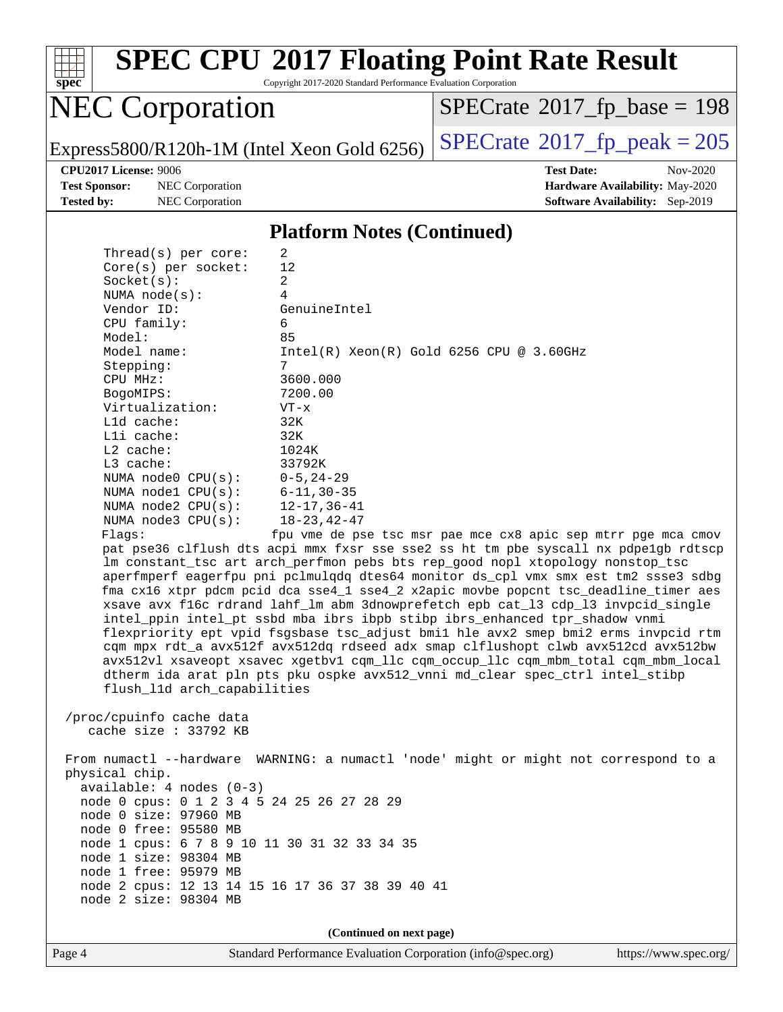

Copyright 2017-2020 Standard Performance Evaluation Corporation

## NEC Corporation

 $SPECrate$ <sup>®</sup>[2017\\_fp\\_base =](http://www.spec.org/auto/cpu2017/Docs/result-fields.html#SPECrate2017fpbase) 198

Express5800/R120h-1M (Intel Xeon Gold 6256) [SPECrate](http://www.spec.org/auto/cpu2017/Docs/result-fields.html#SPECrate2017fppeak)®2017\_fp\_peak =  $205$ 

**[Test Sponsor:](http://www.spec.org/auto/cpu2017/Docs/result-fields.html#TestSponsor)** NEC Corporation **[Hardware Availability:](http://www.spec.org/auto/cpu2017/Docs/result-fields.html#HardwareAvailability)** May-2020

**[CPU2017 License:](http://www.spec.org/auto/cpu2017/Docs/result-fields.html#CPU2017License)** 9006 **[Test Date:](http://www.spec.org/auto/cpu2017/Docs/result-fields.html#TestDate)** Nov-2020 **[Tested by:](http://www.spec.org/auto/cpu2017/Docs/result-fields.html#Testedby)** NEC Corporation **[Software Availability:](http://www.spec.org/auto/cpu2017/Docs/result-fields.html#SoftwareAvailability)** Sep-2019

#### **[Platform Notes \(Continued\)](http://www.spec.org/auto/cpu2017/Docs/result-fields.html#PlatformNotes)**

| Thread(s) per core:                          | 2                                                                                    |
|----------------------------------------------|--------------------------------------------------------------------------------------|
| $Core(s)$ per socket:                        | 12                                                                                   |
| Socket(s):                                   | $\overline{a}$                                                                       |
| NUMA $node(s):$                              | $\overline{4}$                                                                       |
| Vendor ID:                                   | GenuineIntel                                                                         |
| CPU family:                                  | 6                                                                                    |
| Model:                                       | 85                                                                                   |
| Model name:                                  | $Intel(R)$ Xeon $(R)$ Gold 6256 CPU @ 3.60GHz                                        |
| Stepping:                                    | 7                                                                                    |
| CPU MHz:                                     | 3600.000                                                                             |
| BogoMIPS:                                    | 7200.00                                                                              |
| Virtualization:                              | $VT - x$                                                                             |
| L1d cache:                                   | 32K                                                                                  |
| Lli cache:                                   | 32K                                                                                  |
| $L2$ cache:                                  | 1024K                                                                                |
| $L3$ cache:                                  | 33792K                                                                               |
| NUMA $node0$ $CPU(s):$                       | $0 - 5, 24 - 29$                                                                     |
| NUMA $node1$ $CPU(s)$ :                      | $6 - 11, 30 - 35$                                                                    |
| NUMA $node2$ $CPU(s):$                       | $12 - 17, 36 - 41$                                                                   |
| NUMA $node3$ CPU $(s)$ :                     | $18 - 23, 42 - 47$                                                                   |
| Flags:                                       | fpu vme de pse tsc msr pae mce cx8 apic sep mtrr pge mca cmov                        |
|                                              | pat pse36 clflush dts acpi mmx fxsr sse sse2 ss ht tm pbe syscall nx pdpe1gb rdtscp  |
|                                              | lm constant_tsc art arch_perfmon pebs bts rep_good nopl xtopology nonstop_tsc        |
|                                              | aperfmperf eagerfpu pni pclmulqdq dtes64 monitor ds_cpl vmx smx est tm2 ssse3 sdbg   |
|                                              | fma cx16 xtpr pdcm pcid dca sse4_1 sse4_2 x2apic movbe popcnt tsc_deadline_timer aes |
|                                              | xsave avx f16c rdrand lahf_lm abm 3dnowprefetch epb cat_13 cdp_13 invpcid_single     |
|                                              | intel_ppin intel_pt ssbd mba ibrs ibpb stibp ibrs_enhanced tpr_shadow vnmi           |
|                                              | flexpriority ept vpid fsgsbase tsc_adjust bmil hle avx2 smep bmi2 erms invpcid rtm   |
|                                              | cqm mpx rdt_a avx512f avx512dq rdseed adx smap clflushopt clwb avx512cd avx512bw     |
|                                              | avx512vl xsaveopt xsavec xgetbvl cqm_llc cqm_occup_llc cqm_mbm_total cqm_mbm_local   |
|                                              | dtherm ida arat pln pts pku ospke avx512_vnni md_clear spec_ctrl intel_stibp         |
| flush_11d arch_capabilities                  |                                                                                      |
|                                              |                                                                                      |
| /proc/cpuinfo cache data                     |                                                                                      |
| cache size : $33792$ KB                      |                                                                                      |
|                                              |                                                                                      |
|                                              | From numactl --hardware WARNING: a numactl 'node' might or might not correspond to a |
| physical chip.<br>$available: 4 nodes (0-3)$ |                                                                                      |
| node 0 cpus: 0 1 2 3 4 5 24 25 26 27 28 29   |                                                                                      |
| node 0 size: 97960 MB                        |                                                                                      |
| node 0 free: 95580 MB                        |                                                                                      |
| node 1 cpus: 6 7 8 9 10 11 30 31 32 33 34 35 |                                                                                      |
| node 1 size: 98304 MB                        |                                                                                      |
| node 1 free: 95979 MB                        |                                                                                      |
|                                              | node 2 cpus: 12 13 14 15 16 17 36 37 38 39 40 41                                     |
| node 2 size: 98304 MB                        |                                                                                      |
|                                              |                                                                                      |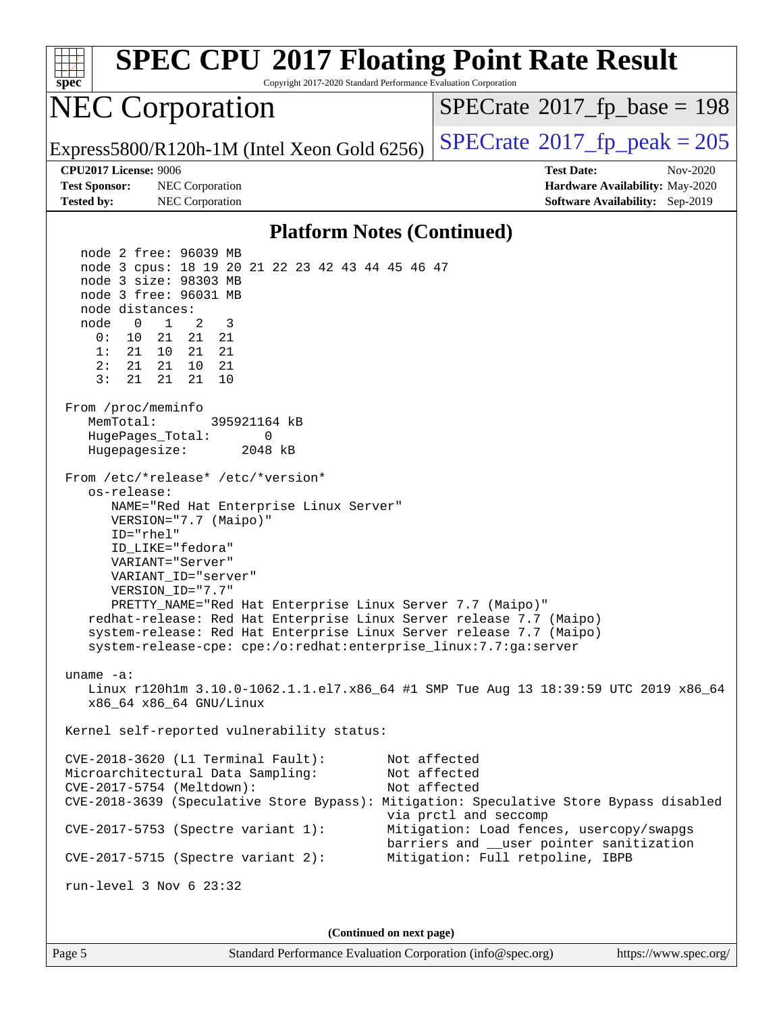| <b>SPEC CPU®2017 Floating Point Rate Result</b><br>Copyright 2017-2020 Standard Performance Evaluation Corporation<br>$spec*$                                                                                                                                                                                                                                                                                                                                                                                                                                                                                                                                                                                                                                                                                                                                                                                                                                                                                                                                                                                                                                                                                                                                                                                                                                                                                                      |                                                                                                                                                                                                   |  |  |  |  |  |  |  |
|------------------------------------------------------------------------------------------------------------------------------------------------------------------------------------------------------------------------------------------------------------------------------------------------------------------------------------------------------------------------------------------------------------------------------------------------------------------------------------------------------------------------------------------------------------------------------------------------------------------------------------------------------------------------------------------------------------------------------------------------------------------------------------------------------------------------------------------------------------------------------------------------------------------------------------------------------------------------------------------------------------------------------------------------------------------------------------------------------------------------------------------------------------------------------------------------------------------------------------------------------------------------------------------------------------------------------------------------------------------------------------------------------------------------------------|---------------------------------------------------------------------------------------------------------------------------------------------------------------------------------------------------|--|--|--|--|--|--|--|
| <b>NEC Corporation</b>                                                                                                                                                                                                                                                                                                                                                                                                                                                                                                                                                                                                                                                                                                                                                                                                                                                                                                                                                                                                                                                                                                                                                                                                                                                                                                                                                                                                             | $SPECrate^{\circ}2017$ fp base = 198                                                                                                                                                              |  |  |  |  |  |  |  |
| Express5800/R120h-1M (Intel Xeon Gold 6256)                                                                                                                                                                                                                                                                                                                                                                                                                                                                                                                                                                                                                                                                                                                                                                                                                                                                                                                                                                                                                                                                                                                                                                                                                                                                                                                                                                                        | $SPECTate$ <sup>®</sup> 2017_fp_peak = 205                                                                                                                                                        |  |  |  |  |  |  |  |
| <b>CPU2017 License: 9006</b>                                                                                                                                                                                                                                                                                                                                                                                                                                                                                                                                                                                                                                                                                                                                                                                                                                                                                                                                                                                                                                                                                                                                                                                                                                                                                                                                                                                                       | <b>Test Date:</b><br>Nov-2020                                                                                                                                                                     |  |  |  |  |  |  |  |
| <b>Test Sponsor:</b><br>NEC Corporation<br><b>Tested by:</b><br>NEC Corporation                                                                                                                                                                                                                                                                                                                                                                                                                                                                                                                                                                                                                                                                                                                                                                                                                                                                                                                                                                                                                                                                                                                                                                                                                                                                                                                                                    | Hardware Availability: May-2020<br>Software Availability: Sep-2019                                                                                                                                |  |  |  |  |  |  |  |
| <b>Platform Notes (Continued)</b>                                                                                                                                                                                                                                                                                                                                                                                                                                                                                                                                                                                                                                                                                                                                                                                                                                                                                                                                                                                                                                                                                                                                                                                                                                                                                                                                                                                                  |                                                                                                                                                                                                   |  |  |  |  |  |  |  |
| node 2 free: 96039 MB<br>node 3 cpus: 18 19 20 21 22 23 42 43 44 45 46 47<br>node 3 size: 98303 MB<br>node 3 free: 96031 MB<br>node distances:<br>2<br>3<br>$\mathbf 0$<br>$\mathbf{1}$<br>node<br>0 :<br>10 21<br>21 21<br>1:<br>21 10<br>21<br>21<br>2:<br>21<br>21<br>10<br>21<br>3:<br>21<br>21<br>10<br>21<br>From /proc/meminfo<br>MemTotal:<br>395921164 kB<br>HugePages_Total:<br>0<br>Hugepagesize:<br>2048 kB<br>From /etc/*release* /etc/*version*<br>os-release:<br>NAME="Red Hat Enterprise Linux Server"<br>VERSION="7.7 (Maipo)"<br>ID="rhel"<br>ID LIKE="fedora"<br>VARIANT="Server"<br>VARIANT ID="server"<br>VERSION_ID="7.7"<br>PRETTY_NAME="Red Hat Enterprise Linux Server 7.7 (Maipo)"<br>redhat-release: Red Hat Enterprise Linux Server release 7.7 (Maipo)<br>system-release: Red Hat Enterprise Linux Server release 7.7 (Maipo)<br>system-release-cpe: cpe:/o:redhat:enterprise_linux:7.7:ga:server<br>uname $-a$ :<br>Linux r120hlm 3.10.0-1062.1.1.el7.x86_64 #1 SMP Tue Aug 13 18:39:59 UTC 2019 x86_64<br>x86_64 x86_64 GNU/Linux<br>Kernel self-reported vulnerability status:<br>CVE-2018-3620 (L1 Terminal Fault):<br>Microarchitectural Data Sampling:<br>CVE-2017-5754 (Meltdown):<br>CVE-2018-3639 (Speculative Store Bypass): Mitigation: Speculative Store Bypass disabled<br>$CVE-2017-5753$ (Spectre variant 1):<br>$CVE-2017-5715$ (Spectre variant 2):<br>run-level $3$ Nov $6$ $23:32$ | Not affected<br>Not affected<br>Not affected<br>via prctl and seccomp<br>Mitigation: Load fences, usercopy/swapgs<br>barriers and __user pointer sanitization<br>Mitigation: Full retpoline, IBPB |  |  |  |  |  |  |  |
| (Continued on next page)                                                                                                                                                                                                                                                                                                                                                                                                                                                                                                                                                                                                                                                                                                                                                                                                                                                                                                                                                                                                                                                                                                                                                                                                                                                                                                                                                                                                           |                                                                                                                                                                                                   |  |  |  |  |  |  |  |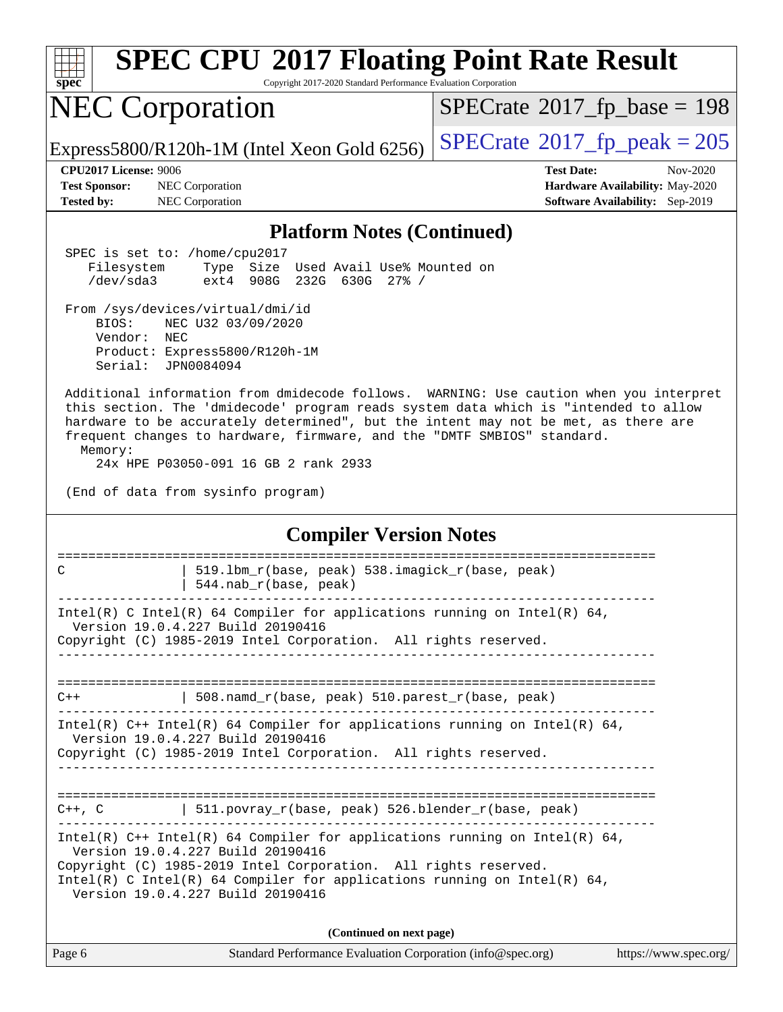| spec                                                                                                                                                                                                                                                                                                    | <b>SPEC CPU®2017 Floating Point Rate Result</b><br>Copyright 2017-2020 Standard Performance Evaluation Corporation                                                                                                                                                                                                                                                                                                                                                                                                                                                     |                                                                                                            |  |  |  |
|---------------------------------------------------------------------------------------------------------------------------------------------------------------------------------------------------------------------------------------------------------------------------------------------------------|------------------------------------------------------------------------------------------------------------------------------------------------------------------------------------------------------------------------------------------------------------------------------------------------------------------------------------------------------------------------------------------------------------------------------------------------------------------------------------------------------------------------------------------------------------------------|------------------------------------------------------------------------------------------------------------|--|--|--|
|                                                                                                                                                                                                                                                                                                         | <b>NEC Corporation</b>                                                                                                                                                                                                                                                                                                                                                                                                                                                                                                                                                 | $SPECrate^{\circ}2017$ [p base = 198                                                                       |  |  |  |
|                                                                                                                                                                                                                                                                                                         | Express5800/R120h-1M (Intel Xeon Gold $6256$ )                                                                                                                                                                                                                                                                                                                                                                                                                                                                                                                         | $SPECTate$ <sup>®</sup> 2017_fp_peak = 205                                                                 |  |  |  |
| <b>CPU2017 License: 9006</b><br><b>Test Sponsor:</b><br><b>Tested by:</b>                                                                                                                                                                                                                               | NEC Corporation<br>NEC Corporation                                                                                                                                                                                                                                                                                                                                                                                                                                                                                                                                     | <b>Test Date:</b><br>Nov-2020<br>Hardware Availability: May-2020<br><b>Software Availability:</b> Sep-2019 |  |  |  |
|                                                                                                                                                                                                                                                                                                         | <b>Platform Notes (Continued)</b>                                                                                                                                                                                                                                                                                                                                                                                                                                                                                                                                      |                                                                                                            |  |  |  |
| Filesystem<br>/dev/sda3<br>BIOS:<br>Vendor:<br>Memory:                                                                                                                                                                                                                                                  | SPEC is set to: /home/cpu2017<br>Type Size Used Avail Use% Mounted on<br>232G 630G 27% /<br>ext4<br>908G<br>From /sys/devices/virtual/dmi/id<br>NEC U32 03/09/2020<br>NEC<br>Product: Express5800/R120h-1M<br>Serial: JPN0084094<br>this section. The 'dmidecode' program reads system data which is "intended to allow<br>hardware to be accurately determined", but the intent may not be met, as there are<br>frequent changes to hardware, firmware, and the "DMTF SMBIOS" standard.<br>24x HPE P03050-091 16 GB 2 rank 2933<br>(End of data from sysinfo program) | Additional information from dmidecode follows. WARNING: Use caution when you interpret                     |  |  |  |
| <b>Compiler Version Notes</b>                                                                                                                                                                                                                                                                           |                                                                                                                                                                                                                                                                                                                                                                                                                                                                                                                                                                        |                                                                                                            |  |  |  |
| C                                                                                                                                                                                                                                                                                                       | 519.1bm_r(base, peak) 538.imagick_r(base, peak)<br>544.nab_r(base, peak)                                                                                                                                                                                                                                                                                                                                                                                                                                                                                               |                                                                                                            |  |  |  |
|                                                                                                                                                                                                                                                                                                         | Intel(R) C Intel(R) 64 Compiler for applications running on Intel(R) 64,<br>Version 19.0.4.227 Build 20190416<br>Copyright (C) 1985-2019 Intel Corporation. All rights reserved.                                                                                                                                                                                                                                                                                                                                                                                       |                                                                                                            |  |  |  |
| $C++$                                                                                                                                                                                                                                                                                                   | 508.namd_r(base, peak) 510.parest_r(base, peak)                                                                                                                                                                                                                                                                                                                                                                                                                                                                                                                        |                                                                                                            |  |  |  |
| Intel(R) $C++$ Intel(R) 64 Compiler for applications running on Intel(R) 64,<br>Version 19.0.4.227 Build 20190416<br>Copyright (C) 1985-2019 Intel Corporation. All rights reserved.                                                                                                                    |                                                                                                                                                                                                                                                                                                                                                                                                                                                                                                                                                                        |                                                                                                            |  |  |  |
|                                                                                                                                                                                                                                                                                                         | $C++$ , C $\qquad$   511.povray_r(base, peak) 526.blender_r(base, peak)                                                                                                                                                                                                                                                                                                                                                                                                                                                                                                |                                                                                                            |  |  |  |
| Intel(R) $C++$ Intel(R) 64 Compiler for applications running on Intel(R) 64,<br>Version 19.0.4.227 Build 20190416<br>Copyright (C) 1985-2019 Intel Corporation. All rights reserved.<br>$Intel(R)$ C Intel(R) 64 Compiler for applications running on Intel(R) 64,<br>Version 19.0.4.227 Build 20190416 |                                                                                                                                                                                                                                                                                                                                                                                                                                                                                                                                                                        |                                                                                                            |  |  |  |
|                                                                                                                                                                                                                                                                                                         | (Continued on next page)                                                                                                                                                                                                                                                                                                                                                                                                                                                                                                                                               |                                                                                                            |  |  |  |
| Page 6                                                                                                                                                                                                                                                                                                  | Standard Performance Evaluation Corporation (info@spec.org)                                                                                                                                                                                                                                                                                                                                                                                                                                                                                                            | https://www.spec.org/                                                                                      |  |  |  |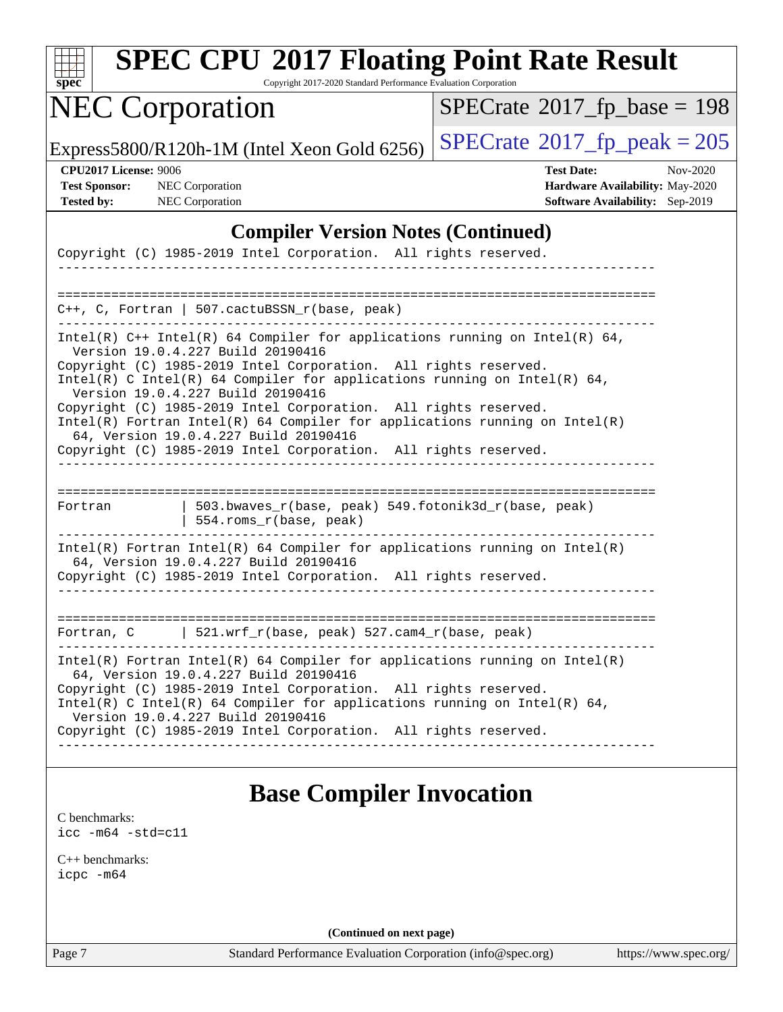| SI | pe | Ľ |  |
|----|----|---|--|

Copyright 2017-2020 Standard Performance Evaluation Corporation

# NEC Corporation

 $SPECrate$ <sup>®</sup>[2017\\_fp\\_base =](http://www.spec.org/auto/cpu2017/Docs/result-fields.html#SPECrate2017fpbase) 198

Express5800/R120h-1M (Intel Xeon Gold 6256)  $\left|$  [SPECrate](http://www.spec.org/auto/cpu2017/Docs/result-fields.html#SPECrate2017fppeak)®[2017\\_fp\\_peak = 2](http://www.spec.org/auto/cpu2017/Docs/result-fields.html#SPECrate2017fppeak)05

**[CPU2017 License:](http://www.spec.org/auto/cpu2017/Docs/result-fields.html#CPU2017License)** 9006 **[Test Date:](http://www.spec.org/auto/cpu2017/Docs/result-fields.html#TestDate)** Nov-2020 **[Test Sponsor:](http://www.spec.org/auto/cpu2017/Docs/result-fields.html#TestSponsor)** NEC Corporation **[Hardware Availability:](http://www.spec.org/auto/cpu2017/Docs/result-fields.html#HardwareAvailability)** May-2020 **[Tested by:](http://www.spec.org/auto/cpu2017/Docs/result-fields.html#Testedby)** NEC Corporation **[Software Availability:](http://www.spec.org/auto/cpu2017/Docs/result-fields.html#SoftwareAvailability)** Sep-2019

#### **[Compiler Version Notes \(Continued\)](http://www.spec.org/auto/cpu2017/Docs/result-fields.html#CompilerVersionNotes)**

|                                                                                                                                                                                  | Copyright (C) 1985-2019 Intel Corporation. All rights reserved.                                                                                                                          |                                                                              |  |  |  |  |  |
|----------------------------------------------------------------------------------------------------------------------------------------------------------------------------------|------------------------------------------------------------------------------------------------------------------------------------------------------------------------------------------|------------------------------------------------------------------------------|--|--|--|--|--|
|                                                                                                                                                                                  |                                                                                                                                                                                          |                                                                              |  |  |  |  |  |
|                                                                                                                                                                                  | $C++$ , C, Fortran   507. cactuBSSN r(base, peak)                                                                                                                                        |                                                                              |  |  |  |  |  |
|                                                                                                                                                                                  | Version 19.0.4.227 Build 20190416                                                                                                                                                        | Intel(R) $C++$ Intel(R) 64 Compiler for applications running on Intel(R) 64, |  |  |  |  |  |
| Copyright (C) 1985-2019 Intel Corporation. All rights reserved.<br>Intel(R) C Intel(R) 64 Compiler for applications running on Intel(R) 64,<br>Version 19.0.4.227 Build 20190416 |                                                                                                                                                                                          |                                                                              |  |  |  |  |  |
|                                                                                                                                                                                  | Copyright (C) 1985-2019 Intel Corporation. All rights reserved.<br>Intel(R) Fortran Intel(R) 64 Compiler for applications running on $Intel(R)$<br>64, Version 19.0.4.227 Build 20190416 |                                                                              |  |  |  |  |  |
|                                                                                                                                                                                  | Copyright (C) 1985-2019 Intel Corporation. All rights reserved.                                                                                                                          |                                                                              |  |  |  |  |  |
| Fortran                                                                                                                                                                          | 503.bwaves_r(base, peak) 549.fotonik3d_r(base, peak)<br>554.roms_r(base, peak)                                                                                                           |                                                                              |  |  |  |  |  |
|                                                                                                                                                                                  | 64, Version 19.0.4.227 Build 20190416<br>Copyright (C) 1985-2019 Intel Corporation. All rights reserved.                                                                                 | Intel(R) Fortran Intel(R) 64 Compiler for applications running on Intel(R)   |  |  |  |  |  |
|                                                                                                                                                                                  |                                                                                                                                                                                          |                                                                              |  |  |  |  |  |
| Fortran, C                                                                                                                                                                       | 521.wrf_r(base, peak) 527.cam4_r(base, peak)                                                                                                                                             |                                                                              |  |  |  |  |  |
|                                                                                                                                                                                  | 64, Version 19.0.4.227 Build 20190416                                                                                                                                                    | Intel(R) Fortran Intel(R) 64 Compiler for applications running on Intel(R)   |  |  |  |  |  |
| Copyright (C) 1985-2019 Intel Corporation. All rights reserved.<br>Intel(R) C Intel(R) 64 Compiler for applications running on Intel(R) 64,<br>Version 19.0.4.227 Build 20190416 |                                                                                                                                                                                          |                                                                              |  |  |  |  |  |
|                                                                                                                                                                                  | Copyright (C) 1985-2019 Intel Corporation. All rights reserved.                                                                                                                          |                                                                              |  |  |  |  |  |
|                                                                                                                                                                                  |                                                                                                                                                                                          |                                                                              |  |  |  |  |  |

#### **[Base Compiler Invocation](http://www.spec.org/auto/cpu2017/Docs/result-fields.html#BaseCompilerInvocation)**

[C benchmarks](http://www.spec.org/auto/cpu2017/Docs/result-fields.html#Cbenchmarks): [icc -m64 -std=c11](http://www.spec.org/cpu2017/results/res2020q4/cpu2017-20201109-24348.flags.html#user_CCbase_intel_icc_64bit_c11_33ee0cdaae7deeeab2a9725423ba97205ce30f63b9926c2519791662299b76a0318f32ddfffdc46587804de3178b4f9328c46fa7c2b0cd779d7a61945c91cd35)

[C++ benchmarks:](http://www.spec.org/auto/cpu2017/Docs/result-fields.html#CXXbenchmarks) [icpc -m64](http://www.spec.org/cpu2017/results/res2020q4/cpu2017-20201109-24348.flags.html#user_CXXbase_intel_icpc_64bit_4ecb2543ae3f1412ef961e0650ca070fec7b7afdcd6ed48761b84423119d1bf6bdf5cad15b44d48e7256388bc77273b966e5eb805aefd121eb22e9299b2ec9d9)

**(Continued on next page)**

Page 7 Standard Performance Evaluation Corporation [\(info@spec.org\)](mailto:info@spec.org) <https://www.spec.org/>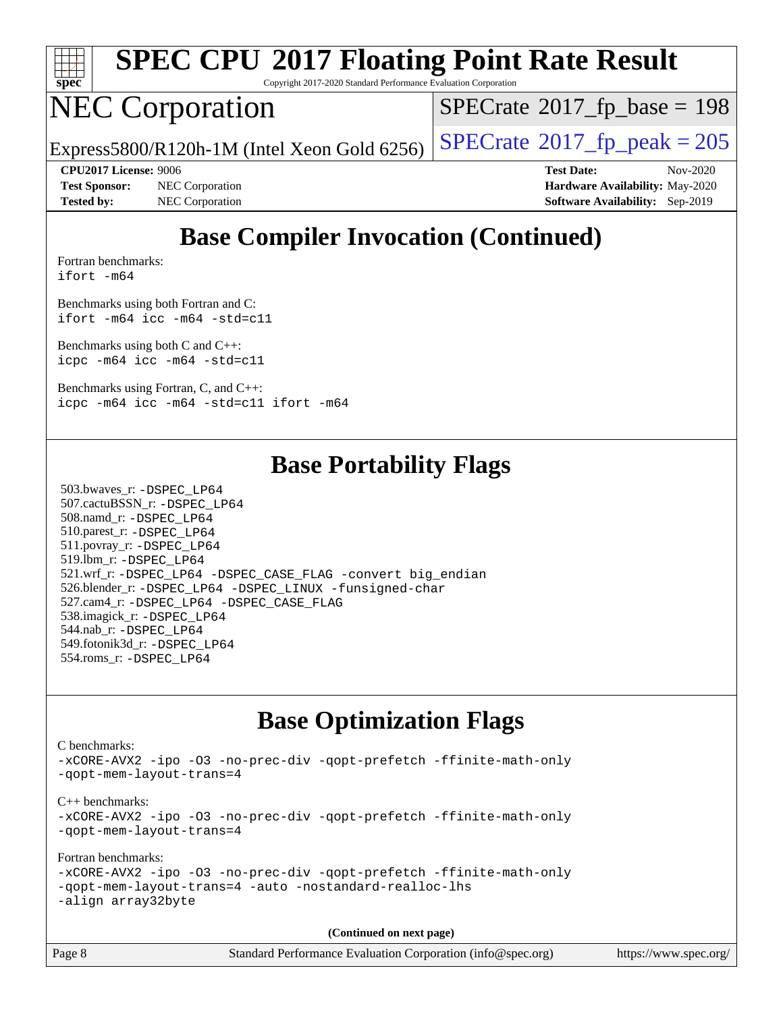

Copyright 2017-2020 Standard Performance Evaluation Corporation

### NEC Corporation

 $SPECTate$ <sup>®</sup>[2017\\_fp\\_base =](http://www.spec.org/auto/cpu2017/Docs/result-fields.html#SPECrate2017fpbase) 198

Express5800/R120h-1M (Intel Xeon Gold 6256)  $\left|$  [SPECrate](http://www.spec.org/auto/cpu2017/Docs/result-fields.html#SPECrate2017fppeak)®[2017\\_fp\\_peak = 2](http://www.spec.org/auto/cpu2017/Docs/result-fields.html#SPECrate2017fppeak)05

**[Test Sponsor:](http://www.spec.org/auto/cpu2017/Docs/result-fields.html#TestSponsor)** NEC Corporation **[Hardware Availability:](http://www.spec.org/auto/cpu2017/Docs/result-fields.html#HardwareAvailability)** May-2020 **[Tested by:](http://www.spec.org/auto/cpu2017/Docs/result-fields.html#Testedby)** NEC Corporation **[Software Availability:](http://www.spec.org/auto/cpu2017/Docs/result-fields.html#SoftwareAvailability)** Sep-2019

**[CPU2017 License:](http://www.spec.org/auto/cpu2017/Docs/result-fields.html#CPU2017License)** 9006 **[Test Date:](http://www.spec.org/auto/cpu2017/Docs/result-fields.html#TestDate)** Nov-2020

#### **[Base Compiler Invocation \(Continued\)](http://www.spec.org/auto/cpu2017/Docs/result-fields.html#BaseCompilerInvocation)**

[Fortran benchmarks](http://www.spec.org/auto/cpu2017/Docs/result-fields.html#Fortranbenchmarks): [ifort -m64](http://www.spec.org/cpu2017/results/res2020q4/cpu2017-20201109-24348.flags.html#user_FCbase_intel_ifort_64bit_24f2bb282fbaeffd6157abe4f878425411749daecae9a33200eee2bee2fe76f3b89351d69a8130dd5949958ce389cf37ff59a95e7a40d588e8d3a57e0c3fd751)

[Benchmarks using both Fortran and C](http://www.spec.org/auto/cpu2017/Docs/result-fields.html#BenchmarksusingbothFortranandC): [ifort -m64](http://www.spec.org/cpu2017/results/res2020q4/cpu2017-20201109-24348.flags.html#user_CC_FCbase_intel_ifort_64bit_24f2bb282fbaeffd6157abe4f878425411749daecae9a33200eee2bee2fe76f3b89351d69a8130dd5949958ce389cf37ff59a95e7a40d588e8d3a57e0c3fd751) [icc -m64 -std=c11](http://www.spec.org/cpu2017/results/res2020q4/cpu2017-20201109-24348.flags.html#user_CC_FCbase_intel_icc_64bit_c11_33ee0cdaae7deeeab2a9725423ba97205ce30f63b9926c2519791662299b76a0318f32ddfffdc46587804de3178b4f9328c46fa7c2b0cd779d7a61945c91cd35)

[Benchmarks using both C and C++](http://www.spec.org/auto/cpu2017/Docs/result-fields.html#BenchmarksusingbothCandCXX): [icpc -m64](http://www.spec.org/cpu2017/results/res2020q4/cpu2017-20201109-24348.flags.html#user_CC_CXXbase_intel_icpc_64bit_4ecb2543ae3f1412ef961e0650ca070fec7b7afdcd6ed48761b84423119d1bf6bdf5cad15b44d48e7256388bc77273b966e5eb805aefd121eb22e9299b2ec9d9) [icc -m64 -std=c11](http://www.spec.org/cpu2017/results/res2020q4/cpu2017-20201109-24348.flags.html#user_CC_CXXbase_intel_icc_64bit_c11_33ee0cdaae7deeeab2a9725423ba97205ce30f63b9926c2519791662299b76a0318f32ddfffdc46587804de3178b4f9328c46fa7c2b0cd779d7a61945c91cd35)

[Benchmarks using Fortran, C, and C++:](http://www.spec.org/auto/cpu2017/Docs/result-fields.html#BenchmarksusingFortranCandCXX) [icpc -m64](http://www.spec.org/cpu2017/results/res2020q4/cpu2017-20201109-24348.flags.html#user_CC_CXX_FCbase_intel_icpc_64bit_4ecb2543ae3f1412ef961e0650ca070fec7b7afdcd6ed48761b84423119d1bf6bdf5cad15b44d48e7256388bc77273b966e5eb805aefd121eb22e9299b2ec9d9) [icc -m64 -std=c11](http://www.spec.org/cpu2017/results/res2020q4/cpu2017-20201109-24348.flags.html#user_CC_CXX_FCbase_intel_icc_64bit_c11_33ee0cdaae7deeeab2a9725423ba97205ce30f63b9926c2519791662299b76a0318f32ddfffdc46587804de3178b4f9328c46fa7c2b0cd779d7a61945c91cd35) [ifort -m64](http://www.spec.org/cpu2017/results/res2020q4/cpu2017-20201109-24348.flags.html#user_CC_CXX_FCbase_intel_ifort_64bit_24f2bb282fbaeffd6157abe4f878425411749daecae9a33200eee2bee2fe76f3b89351d69a8130dd5949958ce389cf37ff59a95e7a40d588e8d3a57e0c3fd751)

#### **[Base Portability Flags](http://www.spec.org/auto/cpu2017/Docs/result-fields.html#BasePortabilityFlags)**

 503.bwaves\_r: [-DSPEC\\_LP64](http://www.spec.org/cpu2017/results/res2020q4/cpu2017-20201109-24348.flags.html#suite_basePORTABILITY503_bwaves_r_DSPEC_LP64) 507.cactuBSSN\_r: [-DSPEC\\_LP64](http://www.spec.org/cpu2017/results/res2020q4/cpu2017-20201109-24348.flags.html#suite_basePORTABILITY507_cactuBSSN_r_DSPEC_LP64) 508.namd\_r: [-DSPEC\\_LP64](http://www.spec.org/cpu2017/results/res2020q4/cpu2017-20201109-24348.flags.html#suite_basePORTABILITY508_namd_r_DSPEC_LP64) 510.parest\_r: [-DSPEC\\_LP64](http://www.spec.org/cpu2017/results/res2020q4/cpu2017-20201109-24348.flags.html#suite_basePORTABILITY510_parest_r_DSPEC_LP64) 511.povray\_r: [-DSPEC\\_LP64](http://www.spec.org/cpu2017/results/res2020q4/cpu2017-20201109-24348.flags.html#suite_basePORTABILITY511_povray_r_DSPEC_LP64) 519.lbm\_r: [-DSPEC\\_LP64](http://www.spec.org/cpu2017/results/res2020q4/cpu2017-20201109-24348.flags.html#suite_basePORTABILITY519_lbm_r_DSPEC_LP64) 521.wrf\_r: [-DSPEC\\_LP64](http://www.spec.org/cpu2017/results/res2020q4/cpu2017-20201109-24348.flags.html#suite_basePORTABILITY521_wrf_r_DSPEC_LP64) [-DSPEC\\_CASE\\_FLAG](http://www.spec.org/cpu2017/results/res2020q4/cpu2017-20201109-24348.flags.html#b521.wrf_r_baseCPORTABILITY_DSPEC_CASE_FLAG) [-convert big\\_endian](http://www.spec.org/cpu2017/results/res2020q4/cpu2017-20201109-24348.flags.html#user_baseFPORTABILITY521_wrf_r_convert_big_endian_c3194028bc08c63ac5d04de18c48ce6d347e4e562e8892b8bdbdc0214820426deb8554edfa529a3fb25a586e65a3d812c835984020483e7e73212c4d31a38223) 526.blender\_r: [-DSPEC\\_LP64](http://www.spec.org/cpu2017/results/res2020q4/cpu2017-20201109-24348.flags.html#suite_basePORTABILITY526_blender_r_DSPEC_LP64) [-DSPEC\\_LINUX](http://www.spec.org/cpu2017/results/res2020q4/cpu2017-20201109-24348.flags.html#b526.blender_r_baseCPORTABILITY_DSPEC_LINUX) [-funsigned-char](http://www.spec.org/cpu2017/results/res2020q4/cpu2017-20201109-24348.flags.html#user_baseCPORTABILITY526_blender_r_force_uchar_40c60f00ab013830e2dd6774aeded3ff59883ba5a1fc5fc14077f794d777847726e2a5858cbc7672e36e1b067e7e5c1d9a74f7176df07886a243d7cc18edfe67) 527.cam4\_r: [-DSPEC\\_LP64](http://www.spec.org/cpu2017/results/res2020q4/cpu2017-20201109-24348.flags.html#suite_basePORTABILITY527_cam4_r_DSPEC_LP64) [-DSPEC\\_CASE\\_FLAG](http://www.spec.org/cpu2017/results/res2020q4/cpu2017-20201109-24348.flags.html#b527.cam4_r_baseCPORTABILITY_DSPEC_CASE_FLAG) 538.imagick\_r: [-DSPEC\\_LP64](http://www.spec.org/cpu2017/results/res2020q4/cpu2017-20201109-24348.flags.html#suite_basePORTABILITY538_imagick_r_DSPEC_LP64) 544.nab\_r: [-DSPEC\\_LP64](http://www.spec.org/cpu2017/results/res2020q4/cpu2017-20201109-24348.flags.html#suite_basePORTABILITY544_nab_r_DSPEC_LP64) 549.fotonik3d\_r: [-DSPEC\\_LP64](http://www.spec.org/cpu2017/results/res2020q4/cpu2017-20201109-24348.flags.html#suite_basePORTABILITY549_fotonik3d_r_DSPEC_LP64) 554.roms\_r: [-DSPEC\\_LP64](http://www.spec.org/cpu2017/results/res2020q4/cpu2017-20201109-24348.flags.html#suite_basePORTABILITY554_roms_r_DSPEC_LP64)

#### **[Base Optimization Flags](http://www.spec.org/auto/cpu2017/Docs/result-fields.html#BaseOptimizationFlags)**

[C benchmarks](http://www.spec.org/auto/cpu2017/Docs/result-fields.html#Cbenchmarks): [-xCORE-AVX2](http://www.spec.org/cpu2017/results/res2020q4/cpu2017-20201109-24348.flags.html#user_CCbase_f-xCORE-AVX2) [-ipo](http://www.spec.org/cpu2017/results/res2020q4/cpu2017-20201109-24348.flags.html#user_CCbase_f-ipo) [-O3](http://www.spec.org/cpu2017/results/res2020q4/cpu2017-20201109-24348.flags.html#user_CCbase_f-O3) [-no-prec-div](http://www.spec.org/cpu2017/results/res2020q4/cpu2017-20201109-24348.flags.html#user_CCbase_f-no-prec-div) [-qopt-prefetch](http://www.spec.org/cpu2017/results/res2020q4/cpu2017-20201109-24348.flags.html#user_CCbase_f-qopt-prefetch) [-ffinite-math-only](http://www.spec.org/cpu2017/results/res2020q4/cpu2017-20201109-24348.flags.html#user_CCbase_f_finite_math_only_cb91587bd2077682c4b38af759c288ed7c732db004271a9512da14a4f8007909a5f1427ecbf1a0fb78ff2a814402c6114ac565ca162485bbcae155b5e4258871) [-qopt-mem-layout-trans=4](http://www.spec.org/cpu2017/results/res2020q4/cpu2017-20201109-24348.flags.html#user_CCbase_f-qopt-mem-layout-trans_fa39e755916c150a61361b7846f310bcdf6f04e385ef281cadf3647acec3f0ae266d1a1d22d972a7087a248fd4e6ca390a3634700869573d231a252c784941a8) [C++ benchmarks:](http://www.spec.org/auto/cpu2017/Docs/result-fields.html#CXXbenchmarks) [-xCORE-AVX2](http://www.spec.org/cpu2017/results/res2020q4/cpu2017-20201109-24348.flags.html#user_CXXbase_f-xCORE-AVX2) [-ipo](http://www.spec.org/cpu2017/results/res2020q4/cpu2017-20201109-24348.flags.html#user_CXXbase_f-ipo) [-O3](http://www.spec.org/cpu2017/results/res2020q4/cpu2017-20201109-24348.flags.html#user_CXXbase_f-O3) [-no-prec-div](http://www.spec.org/cpu2017/results/res2020q4/cpu2017-20201109-24348.flags.html#user_CXXbase_f-no-prec-div) [-qopt-prefetch](http://www.spec.org/cpu2017/results/res2020q4/cpu2017-20201109-24348.flags.html#user_CXXbase_f-qopt-prefetch) [-ffinite-math-only](http://www.spec.org/cpu2017/results/res2020q4/cpu2017-20201109-24348.flags.html#user_CXXbase_f_finite_math_only_cb91587bd2077682c4b38af759c288ed7c732db004271a9512da14a4f8007909a5f1427ecbf1a0fb78ff2a814402c6114ac565ca162485bbcae155b5e4258871) [-qopt-mem-layout-trans=4](http://www.spec.org/cpu2017/results/res2020q4/cpu2017-20201109-24348.flags.html#user_CXXbase_f-qopt-mem-layout-trans_fa39e755916c150a61361b7846f310bcdf6f04e385ef281cadf3647acec3f0ae266d1a1d22d972a7087a248fd4e6ca390a3634700869573d231a252c784941a8) [Fortran benchmarks](http://www.spec.org/auto/cpu2017/Docs/result-fields.html#Fortranbenchmarks): [-xCORE-AVX2](http://www.spec.org/cpu2017/results/res2020q4/cpu2017-20201109-24348.flags.html#user_FCbase_f-xCORE-AVX2) [-ipo](http://www.spec.org/cpu2017/results/res2020q4/cpu2017-20201109-24348.flags.html#user_FCbase_f-ipo) [-O3](http://www.spec.org/cpu2017/results/res2020q4/cpu2017-20201109-24348.flags.html#user_FCbase_f-O3) [-no-prec-div](http://www.spec.org/cpu2017/results/res2020q4/cpu2017-20201109-24348.flags.html#user_FCbase_f-no-prec-div) [-qopt-prefetch](http://www.spec.org/cpu2017/results/res2020q4/cpu2017-20201109-24348.flags.html#user_FCbase_f-qopt-prefetch) [-ffinite-math-only](http://www.spec.org/cpu2017/results/res2020q4/cpu2017-20201109-24348.flags.html#user_FCbase_f_finite_math_only_cb91587bd2077682c4b38af759c288ed7c732db004271a9512da14a4f8007909a5f1427ecbf1a0fb78ff2a814402c6114ac565ca162485bbcae155b5e4258871) [-qopt-mem-layout-trans=4](http://www.spec.org/cpu2017/results/res2020q4/cpu2017-20201109-24348.flags.html#user_FCbase_f-qopt-mem-layout-trans_fa39e755916c150a61361b7846f310bcdf6f04e385ef281cadf3647acec3f0ae266d1a1d22d972a7087a248fd4e6ca390a3634700869573d231a252c784941a8) [-auto](http://www.spec.org/cpu2017/results/res2020q4/cpu2017-20201109-24348.flags.html#user_FCbase_f-auto) [-nostandard-realloc-lhs](http://www.spec.org/cpu2017/results/res2020q4/cpu2017-20201109-24348.flags.html#user_FCbase_f_2003_std_realloc_82b4557e90729c0f113870c07e44d33d6f5a304b4f63d4c15d2d0f1fab99f5daaed73bdb9275d9ae411527f28b936061aa8b9c8f2d63842963b95c9dd6426b8a) [-align array32byte](http://www.spec.org/cpu2017/results/res2020q4/cpu2017-20201109-24348.flags.html#user_FCbase_align_array32byte_b982fe038af199962ba9a80c053b8342c548c85b40b8e86eb3cc33dee0d7986a4af373ac2d51c3f7cf710a18d62fdce2948f201cd044323541f22fc0fffc51b6)

| Page 8 | Standard Performance Evaluation Corporation (info@spec.org) | https://www.spec.org/ |
|--------|-------------------------------------------------------------|-----------------------|
|--------|-------------------------------------------------------------|-----------------------|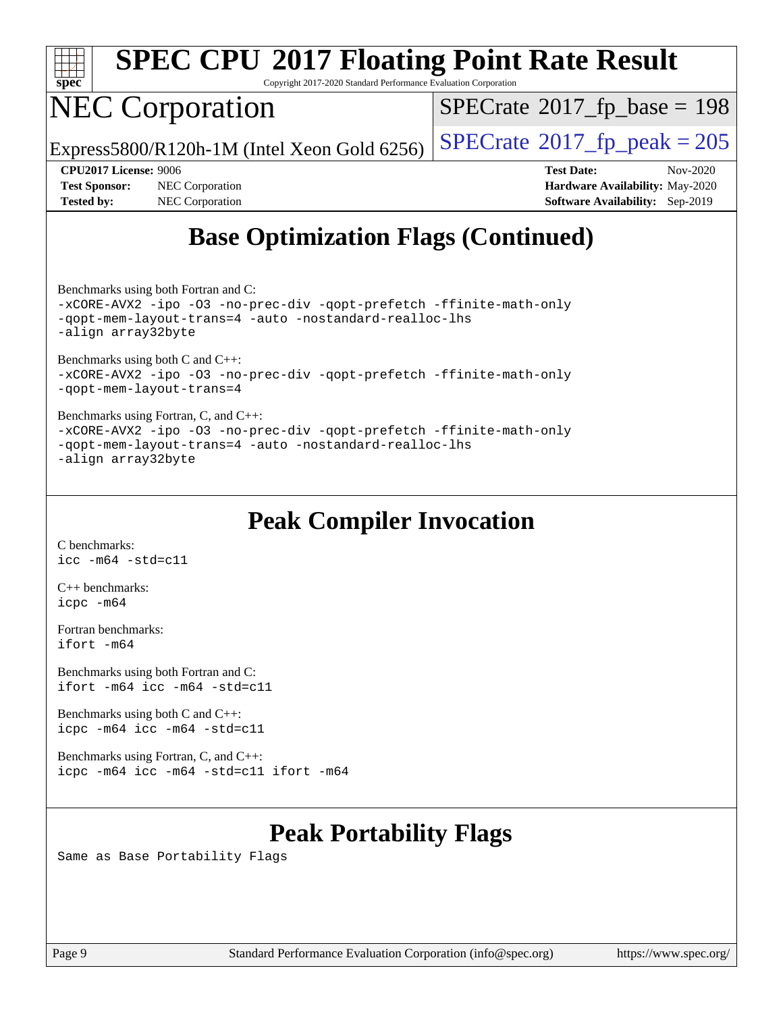

Copyright 2017-2020 Standard Performance Evaluation Corporation

### NEC Corporation

 $SPECrate$ <sup>®</sup>[2017\\_fp\\_base =](http://www.spec.org/auto/cpu2017/Docs/result-fields.html#SPECrate2017fpbase) 198

Express5800/R120h-1M (Intel Xeon Gold 6256)  $\left|$  [SPECrate](http://www.spec.org/auto/cpu2017/Docs/result-fields.html#SPECrate2017fppeak)®[2017\\_fp\\_peak = 2](http://www.spec.org/auto/cpu2017/Docs/result-fields.html#SPECrate2017fppeak)05

**[Tested by:](http://www.spec.org/auto/cpu2017/Docs/result-fields.html#Testedby)** NEC Corporation **[Software Availability:](http://www.spec.org/auto/cpu2017/Docs/result-fields.html#SoftwareAvailability)** Sep-2019

**[CPU2017 License:](http://www.spec.org/auto/cpu2017/Docs/result-fields.html#CPU2017License)** 9006 **[Test Date:](http://www.spec.org/auto/cpu2017/Docs/result-fields.html#TestDate)** Nov-2020 **[Test Sponsor:](http://www.spec.org/auto/cpu2017/Docs/result-fields.html#TestSponsor)** NEC Corporation **[Hardware Availability:](http://www.spec.org/auto/cpu2017/Docs/result-fields.html#HardwareAvailability)** May-2020

#### **[Base Optimization Flags \(Continued\)](http://www.spec.org/auto/cpu2017/Docs/result-fields.html#BaseOptimizationFlags)**

[Benchmarks using both Fortran and C](http://www.spec.org/auto/cpu2017/Docs/result-fields.html#BenchmarksusingbothFortranandC):

[-xCORE-AVX2](http://www.spec.org/cpu2017/results/res2020q4/cpu2017-20201109-24348.flags.html#user_CC_FCbase_f-xCORE-AVX2) [-ipo](http://www.spec.org/cpu2017/results/res2020q4/cpu2017-20201109-24348.flags.html#user_CC_FCbase_f-ipo) [-O3](http://www.spec.org/cpu2017/results/res2020q4/cpu2017-20201109-24348.flags.html#user_CC_FCbase_f-O3) [-no-prec-div](http://www.spec.org/cpu2017/results/res2020q4/cpu2017-20201109-24348.flags.html#user_CC_FCbase_f-no-prec-div) [-qopt-prefetch](http://www.spec.org/cpu2017/results/res2020q4/cpu2017-20201109-24348.flags.html#user_CC_FCbase_f-qopt-prefetch) [-ffinite-math-only](http://www.spec.org/cpu2017/results/res2020q4/cpu2017-20201109-24348.flags.html#user_CC_FCbase_f_finite_math_only_cb91587bd2077682c4b38af759c288ed7c732db004271a9512da14a4f8007909a5f1427ecbf1a0fb78ff2a814402c6114ac565ca162485bbcae155b5e4258871) [-qopt-mem-layout-trans=4](http://www.spec.org/cpu2017/results/res2020q4/cpu2017-20201109-24348.flags.html#user_CC_FCbase_f-qopt-mem-layout-trans_fa39e755916c150a61361b7846f310bcdf6f04e385ef281cadf3647acec3f0ae266d1a1d22d972a7087a248fd4e6ca390a3634700869573d231a252c784941a8) [-auto](http://www.spec.org/cpu2017/results/res2020q4/cpu2017-20201109-24348.flags.html#user_CC_FCbase_f-auto) [-nostandard-realloc-lhs](http://www.spec.org/cpu2017/results/res2020q4/cpu2017-20201109-24348.flags.html#user_CC_FCbase_f_2003_std_realloc_82b4557e90729c0f113870c07e44d33d6f5a304b4f63d4c15d2d0f1fab99f5daaed73bdb9275d9ae411527f28b936061aa8b9c8f2d63842963b95c9dd6426b8a) [-align array32byte](http://www.spec.org/cpu2017/results/res2020q4/cpu2017-20201109-24348.flags.html#user_CC_FCbase_align_array32byte_b982fe038af199962ba9a80c053b8342c548c85b40b8e86eb3cc33dee0d7986a4af373ac2d51c3f7cf710a18d62fdce2948f201cd044323541f22fc0fffc51b6)

[Benchmarks using both C and C++](http://www.spec.org/auto/cpu2017/Docs/result-fields.html#BenchmarksusingbothCandCXX): [-xCORE-AVX2](http://www.spec.org/cpu2017/results/res2020q4/cpu2017-20201109-24348.flags.html#user_CC_CXXbase_f-xCORE-AVX2) [-ipo](http://www.spec.org/cpu2017/results/res2020q4/cpu2017-20201109-24348.flags.html#user_CC_CXXbase_f-ipo) [-O3](http://www.spec.org/cpu2017/results/res2020q4/cpu2017-20201109-24348.flags.html#user_CC_CXXbase_f-O3) [-no-prec-div](http://www.spec.org/cpu2017/results/res2020q4/cpu2017-20201109-24348.flags.html#user_CC_CXXbase_f-no-prec-div) [-qopt-prefetch](http://www.spec.org/cpu2017/results/res2020q4/cpu2017-20201109-24348.flags.html#user_CC_CXXbase_f-qopt-prefetch) [-ffinite-math-only](http://www.spec.org/cpu2017/results/res2020q4/cpu2017-20201109-24348.flags.html#user_CC_CXXbase_f_finite_math_only_cb91587bd2077682c4b38af759c288ed7c732db004271a9512da14a4f8007909a5f1427ecbf1a0fb78ff2a814402c6114ac565ca162485bbcae155b5e4258871) [-qopt-mem-layout-trans=4](http://www.spec.org/cpu2017/results/res2020q4/cpu2017-20201109-24348.flags.html#user_CC_CXXbase_f-qopt-mem-layout-trans_fa39e755916c150a61361b7846f310bcdf6f04e385ef281cadf3647acec3f0ae266d1a1d22d972a7087a248fd4e6ca390a3634700869573d231a252c784941a8)

[Benchmarks using Fortran, C, and C++:](http://www.spec.org/auto/cpu2017/Docs/result-fields.html#BenchmarksusingFortranCandCXX) [-xCORE-AVX2](http://www.spec.org/cpu2017/results/res2020q4/cpu2017-20201109-24348.flags.html#user_CC_CXX_FCbase_f-xCORE-AVX2) [-ipo](http://www.spec.org/cpu2017/results/res2020q4/cpu2017-20201109-24348.flags.html#user_CC_CXX_FCbase_f-ipo) [-O3](http://www.spec.org/cpu2017/results/res2020q4/cpu2017-20201109-24348.flags.html#user_CC_CXX_FCbase_f-O3) [-no-prec-div](http://www.spec.org/cpu2017/results/res2020q4/cpu2017-20201109-24348.flags.html#user_CC_CXX_FCbase_f-no-prec-div) [-qopt-prefetch](http://www.spec.org/cpu2017/results/res2020q4/cpu2017-20201109-24348.flags.html#user_CC_CXX_FCbase_f-qopt-prefetch) [-ffinite-math-only](http://www.spec.org/cpu2017/results/res2020q4/cpu2017-20201109-24348.flags.html#user_CC_CXX_FCbase_f_finite_math_only_cb91587bd2077682c4b38af759c288ed7c732db004271a9512da14a4f8007909a5f1427ecbf1a0fb78ff2a814402c6114ac565ca162485bbcae155b5e4258871) [-qopt-mem-layout-trans=4](http://www.spec.org/cpu2017/results/res2020q4/cpu2017-20201109-24348.flags.html#user_CC_CXX_FCbase_f-qopt-mem-layout-trans_fa39e755916c150a61361b7846f310bcdf6f04e385ef281cadf3647acec3f0ae266d1a1d22d972a7087a248fd4e6ca390a3634700869573d231a252c784941a8) [-auto](http://www.spec.org/cpu2017/results/res2020q4/cpu2017-20201109-24348.flags.html#user_CC_CXX_FCbase_f-auto) [-nostandard-realloc-lhs](http://www.spec.org/cpu2017/results/res2020q4/cpu2017-20201109-24348.flags.html#user_CC_CXX_FCbase_f_2003_std_realloc_82b4557e90729c0f113870c07e44d33d6f5a304b4f63d4c15d2d0f1fab99f5daaed73bdb9275d9ae411527f28b936061aa8b9c8f2d63842963b95c9dd6426b8a) [-align array32byte](http://www.spec.org/cpu2017/results/res2020q4/cpu2017-20201109-24348.flags.html#user_CC_CXX_FCbase_align_array32byte_b982fe038af199962ba9a80c053b8342c548c85b40b8e86eb3cc33dee0d7986a4af373ac2d51c3f7cf710a18d62fdce2948f201cd044323541f22fc0fffc51b6)

#### **[Peak Compiler Invocation](http://www.spec.org/auto/cpu2017/Docs/result-fields.html#PeakCompilerInvocation)**

[C benchmarks](http://www.spec.org/auto/cpu2017/Docs/result-fields.html#Cbenchmarks): [icc -m64 -std=c11](http://www.spec.org/cpu2017/results/res2020q4/cpu2017-20201109-24348.flags.html#user_CCpeak_intel_icc_64bit_c11_33ee0cdaae7deeeab2a9725423ba97205ce30f63b9926c2519791662299b76a0318f32ddfffdc46587804de3178b4f9328c46fa7c2b0cd779d7a61945c91cd35)

[C++ benchmarks:](http://www.spec.org/auto/cpu2017/Docs/result-fields.html#CXXbenchmarks) [icpc -m64](http://www.spec.org/cpu2017/results/res2020q4/cpu2017-20201109-24348.flags.html#user_CXXpeak_intel_icpc_64bit_4ecb2543ae3f1412ef961e0650ca070fec7b7afdcd6ed48761b84423119d1bf6bdf5cad15b44d48e7256388bc77273b966e5eb805aefd121eb22e9299b2ec9d9)

[Fortran benchmarks](http://www.spec.org/auto/cpu2017/Docs/result-fields.html#Fortranbenchmarks): [ifort -m64](http://www.spec.org/cpu2017/results/res2020q4/cpu2017-20201109-24348.flags.html#user_FCpeak_intel_ifort_64bit_24f2bb282fbaeffd6157abe4f878425411749daecae9a33200eee2bee2fe76f3b89351d69a8130dd5949958ce389cf37ff59a95e7a40d588e8d3a57e0c3fd751)

[Benchmarks using both Fortran and C](http://www.spec.org/auto/cpu2017/Docs/result-fields.html#BenchmarksusingbothFortranandC): [ifort -m64](http://www.spec.org/cpu2017/results/res2020q4/cpu2017-20201109-24348.flags.html#user_CC_FCpeak_intel_ifort_64bit_24f2bb282fbaeffd6157abe4f878425411749daecae9a33200eee2bee2fe76f3b89351d69a8130dd5949958ce389cf37ff59a95e7a40d588e8d3a57e0c3fd751) [icc -m64 -std=c11](http://www.spec.org/cpu2017/results/res2020q4/cpu2017-20201109-24348.flags.html#user_CC_FCpeak_intel_icc_64bit_c11_33ee0cdaae7deeeab2a9725423ba97205ce30f63b9926c2519791662299b76a0318f32ddfffdc46587804de3178b4f9328c46fa7c2b0cd779d7a61945c91cd35)

[Benchmarks using both C and C++](http://www.spec.org/auto/cpu2017/Docs/result-fields.html#BenchmarksusingbothCandCXX): [icpc -m64](http://www.spec.org/cpu2017/results/res2020q4/cpu2017-20201109-24348.flags.html#user_CC_CXXpeak_intel_icpc_64bit_4ecb2543ae3f1412ef961e0650ca070fec7b7afdcd6ed48761b84423119d1bf6bdf5cad15b44d48e7256388bc77273b966e5eb805aefd121eb22e9299b2ec9d9) [icc -m64 -std=c11](http://www.spec.org/cpu2017/results/res2020q4/cpu2017-20201109-24348.flags.html#user_CC_CXXpeak_intel_icc_64bit_c11_33ee0cdaae7deeeab2a9725423ba97205ce30f63b9926c2519791662299b76a0318f32ddfffdc46587804de3178b4f9328c46fa7c2b0cd779d7a61945c91cd35)

[Benchmarks using Fortran, C, and C++:](http://www.spec.org/auto/cpu2017/Docs/result-fields.html#BenchmarksusingFortranCandCXX) [icpc -m64](http://www.spec.org/cpu2017/results/res2020q4/cpu2017-20201109-24348.flags.html#user_CC_CXX_FCpeak_intel_icpc_64bit_4ecb2543ae3f1412ef961e0650ca070fec7b7afdcd6ed48761b84423119d1bf6bdf5cad15b44d48e7256388bc77273b966e5eb805aefd121eb22e9299b2ec9d9) [icc -m64 -std=c11](http://www.spec.org/cpu2017/results/res2020q4/cpu2017-20201109-24348.flags.html#user_CC_CXX_FCpeak_intel_icc_64bit_c11_33ee0cdaae7deeeab2a9725423ba97205ce30f63b9926c2519791662299b76a0318f32ddfffdc46587804de3178b4f9328c46fa7c2b0cd779d7a61945c91cd35) [ifort -m64](http://www.spec.org/cpu2017/results/res2020q4/cpu2017-20201109-24348.flags.html#user_CC_CXX_FCpeak_intel_ifort_64bit_24f2bb282fbaeffd6157abe4f878425411749daecae9a33200eee2bee2fe76f3b89351d69a8130dd5949958ce389cf37ff59a95e7a40d588e8d3a57e0c3fd751)

#### **[Peak Portability Flags](http://www.spec.org/auto/cpu2017/Docs/result-fields.html#PeakPortabilityFlags)**

Same as Base Portability Flags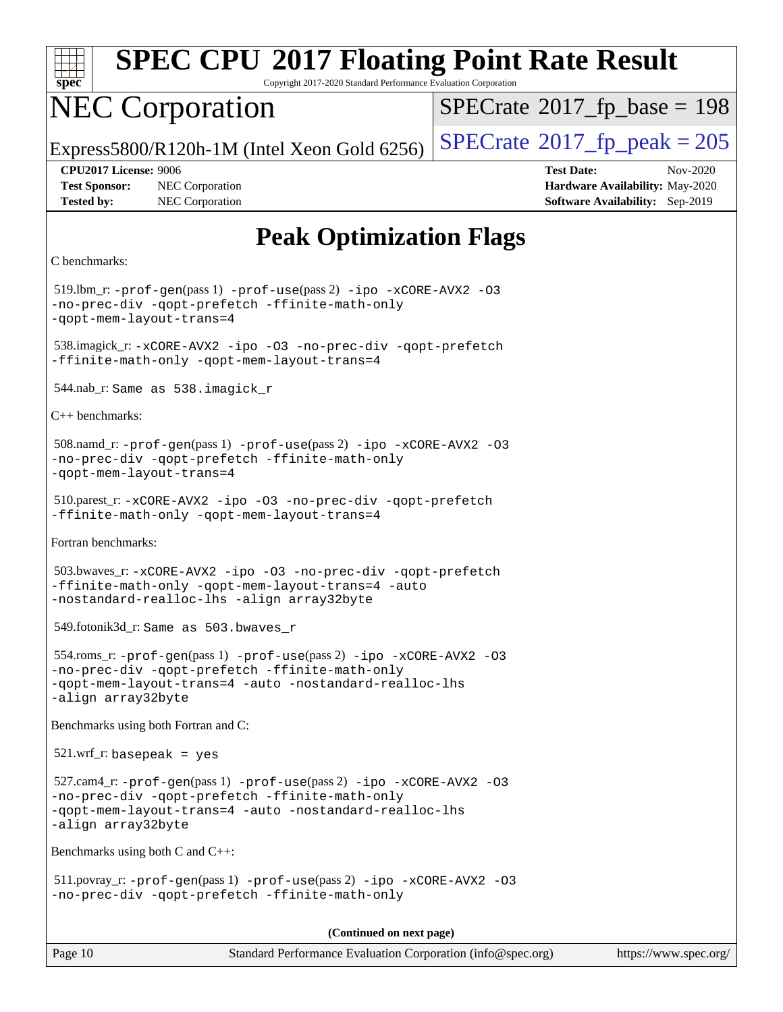

Copyright 2017-2020 Standard Performance Evaluation Corporation

### NEC Corporation

 $SPECTate$ <sup>®</sup>[2017\\_fp\\_base =](http://www.spec.org/auto/cpu2017/Docs/result-fields.html#SPECrate2017fpbase) 198

Express5800/R120h-1M (Intel Xeon Gold 6256)  $\left|$  [SPECrate](http://www.spec.org/auto/cpu2017/Docs/result-fields.html#SPECrate2017fppeak)®[2017\\_fp\\_peak = 2](http://www.spec.org/auto/cpu2017/Docs/result-fields.html#SPECrate2017fppeak)05

**[Test Sponsor:](http://www.spec.org/auto/cpu2017/Docs/result-fields.html#TestSponsor)** NEC Corporation **[Hardware Availability:](http://www.spec.org/auto/cpu2017/Docs/result-fields.html#HardwareAvailability)** May-2020 **[Tested by:](http://www.spec.org/auto/cpu2017/Docs/result-fields.html#Testedby)** NEC Corporation **[Software Availability:](http://www.spec.org/auto/cpu2017/Docs/result-fields.html#SoftwareAvailability)** Sep-2019

**[CPU2017 License:](http://www.spec.org/auto/cpu2017/Docs/result-fields.html#CPU2017License)** 9006 **[Test Date:](http://www.spec.org/auto/cpu2017/Docs/result-fields.html#TestDate)** Nov-2020

#### **[Peak Optimization Flags](http://www.spec.org/auto/cpu2017/Docs/result-fields.html#PeakOptimizationFlags)**

```
C benchmarks:
```
 519.lbm\_r: [-prof-gen](http://www.spec.org/cpu2017/results/res2020q4/cpu2017-20201109-24348.flags.html#user_peakPASS1_CFLAGSPASS1_LDFLAGS519_lbm_r_prof_gen_5aa4926d6013ddb2a31985c654b3eb18169fc0c6952a63635c234f711e6e63dd76e94ad52365559451ec499a2cdb89e4dc58ba4c67ef54ca681ffbe1461d6b36)(pass 1) [-prof-use](http://www.spec.org/cpu2017/results/res2020q4/cpu2017-20201109-24348.flags.html#user_peakPASS2_CFLAGSPASS2_LDFLAGS519_lbm_r_prof_use_1a21ceae95f36a2b53c25747139a6c16ca95bd9def2a207b4f0849963b97e94f5260e30a0c64f4bb623698870e679ca08317ef8150905d41bd88c6f78df73f19)(pass 2) [-ipo](http://www.spec.org/cpu2017/results/res2020q4/cpu2017-20201109-24348.flags.html#user_peakPASS1_COPTIMIZEPASS2_COPTIMIZE519_lbm_r_f-ipo) [-xCORE-AVX2](http://www.spec.org/cpu2017/results/res2020q4/cpu2017-20201109-24348.flags.html#user_peakPASS2_COPTIMIZE519_lbm_r_f-xCORE-AVX2) [-O3](http://www.spec.org/cpu2017/results/res2020q4/cpu2017-20201109-24348.flags.html#user_peakPASS1_COPTIMIZEPASS2_COPTIMIZE519_lbm_r_f-O3) [-no-prec-div](http://www.spec.org/cpu2017/results/res2020q4/cpu2017-20201109-24348.flags.html#user_peakPASS1_COPTIMIZEPASS2_COPTIMIZE519_lbm_r_f-no-prec-div) [-qopt-prefetch](http://www.spec.org/cpu2017/results/res2020q4/cpu2017-20201109-24348.flags.html#user_peakPASS1_COPTIMIZEPASS2_COPTIMIZE519_lbm_r_f-qopt-prefetch) [-ffinite-math-only](http://www.spec.org/cpu2017/results/res2020q4/cpu2017-20201109-24348.flags.html#user_peakPASS1_COPTIMIZEPASS2_COPTIMIZE519_lbm_r_f_finite_math_only_cb91587bd2077682c4b38af759c288ed7c732db004271a9512da14a4f8007909a5f1427ecbf1a0fb78ff2a814402c6114ac565ca162485bbcae155b5e4258871) [-qopt-mem-layout-trans=4](http://www.spec.org/cpu2017/results/res2020q4/cpu2017-20201109-24348.flags.html#user_peakPASS1_COPTIMIZEPASS2_COPTIMIZE519_lbm_r_f-qopt-mem-layout-trans_fa39e755916c150a61361b7846f310bcdf6f04e385ef281cadf3647acec3f0ae266d1a1d22d972a7087a248fd4e6ca390a3634700869573d231a252c784941a8) 538.imagick\_r: [-xCORE-AVX2](http://www.spec.org/cpu2017/results/res2020q4/cpu2017-20201109-24348.flags.html#user_peakCOPTIMIZE538_imagick_r_f-xCORE-AVX2) [-ipo](http://www.spec.org/cpu2017/results/res2020q4/cpu2017-20201109-24348.flags.html#user_peakCOPTIMIZE538_imagick_r_f-ipo) [-O3](http://www.spec.org/cpu2017/results/res2020q4/cpu2017-20201109-24348.flags.html#user_peakCOPTIMIZE538_imagick_r_f-O3) [-no-prec-div](http://www.spec.org/cpu2017/results/res2020q4/cpu2017-20201109-24348.flags.html#user_peakCOPTIMIZE538_imagick_r_f-no-prec-div) [-qopt-prefetch](http://www.spec.org/cpu2017/results/res2020q4/cpu2017-20201109-24348.flags.html#user_peakCOPTIMIZE538_imagick_r_f-qopt-prefetch) [-ffinite-math-only](http://www.spec.org/cpu2017/results/res2020q4/cpu2017-20201109-24348.flags.html#user_peakCOPTIMIZE538_imagick_r_f_finite_math_only_cb91587bd2077682c4b38af759c288ed7c732db004271a9512da14a4f8007909a5f1427ecbf1a0fb78ff2a814402c6114ac565ca162485bbcae155b5e4258871) [-qopt-mem-layout-trans=4](http://www.spec.org/cpu2017/results/res2020q4/cpu2017-20201109-24348.flags.html#user_peakCOPTIMIZE538_imagick_r_f-qopt-mem-layout-trans_fa39e755916c150a61361b7846f310bcdf6f04e385ef281cadf3647acec3f0ae266d1a1d22d972a7087a248fd4e6ca390a3634700869573d231a252c784941a8) 544.nab\_r: Same as 538.imagick\_r [C++ benchmarks:](http://www.spec.org/auto/cpu2017/Docs/result-fields.html#CXXbenchmarks) 508.namd\_r: [-prof-gen](http://www.spec.org/cpu2017/results/res2020q4/cpu2017-20201109-24348.flags.html#user_peakPASS1_CXXFLAGSPASS1_LDFLAGS508_namd_r_prof_gen_5aa4926d6013ddb2a31985c654b3eb18169fc0c6952a63635c234f711e6e63dd76e94ad52365559451ec499a2cdb89e4dc58ba4c67ef54ca681ffbe1461d6b36)(pass 1) [-prof-use](http://www.spec.org/cpu2017/results/res2020q4/cpu2017-20201109-24348.flags.html#user_peakPASS2_CXXFLAGSPASS2_LDFLAGS508_namd_r_prof_use_1a21ceae95f36a2b53c25747139a6c16ca95bd9def2a207b4f0849963b97e94f5260e30a0c64f4bb623698870e679ca08317ef8150905d41bd88c6f78df73f19)(pass 2) [-ipo](http://www.spec.org/cpu2017/results/res2020q4/cpu2017-20201109-24348.flags.html#user_peakPASS1_CXXOPTIMIZEPASS2_CXXOPTIMIZE508_namd_r_f-ipo) [-xCORE-AVX2](http://www.spec.org/cpu2017/results/res2020q4/cpu2017-20201109-24348.flags.html#user_peakPASS2_CXXOPTIMIZE508_namd_r_f-xCORE-AVX2) [-O3](http://www.spec.org/cpu2017/results/res2020q4/cpu2017-20201109-24348.flags.html#user_peakPASS1_CXXOPTIMIZEPASS2_CXXOPTIMIZE508_namd_r_f-O3) [-no-prec-div](http://www.spec.org/cpu2017/results/res2020q4/cpu2017-20201109-24348.flags.html#user_peakPASS1_CXXOPTIMIZEPASS2_CXXOPTIMIZE508_namd_r_f-no-prec-div) [-qopt-prefetch](http://www.spec.org/cpu2017/results/res2020q4/cpu2017-20201109-24348.flags.html#user_peakPASS1_CXXOPTIMIZEPASS2_CXXOPTIMIZE508_namd_r_f-qopt-prefetch) [-ffinite-math-only](http://www.spec.org/cpu2017/results/res2020q4/cpu2017-20201109-24348.flags.html#user_peakPASS1_CXXOPTIMIZEPASS2_CXXOPTIMIZE508_namd_r_f_finite_math_only_cb91587bd2077682c4b38af759c288ed7c732db004271a9512da14a4f8007909a5f1427ecbf1a0fb78ff2a814402c6114ac565ca162485bbcae155b5e4258871) [-qopt-mem-layout-trans=4](http://www.spec.org/cpu2017/results/res2020q4/cpu2017-20201109-24348.flags.html#user_peakPASS1_CXXOPTIMIZEPASS2_CXXOPTIMIZE508_namd_r_f-qopt-mem-layout-trans_fa39e755916c150a61361b7846f310bcdf6f04e385ef281cadf3647acec3f0ae266d1a1d22d972a7087a248fd4e6ca390a3634700869573d231a252c784941a8) 510.parest\_r: [-xCORE-AVX2](http://www.spec.org/cpu2017/results/res2020q4/cpu2017-20201109-24348.flags.html#user_peakCXXOPTIMIZE510_parest_r_f-xCORE-AVX2) [-ipo](http://www.spec.org/cpu2017/results/res2020q4/cpu2017-20201109-24348.flags.html#user_peakCXXOPTIMIZE510_parest_r_f-ipo) [-O3](http://www.spec.org/cpu2017/results/res2020q4/cpu2017-20201109-24348.flags.html#user_peakCXXOPTIMIZE510_parest_r_f-O3) [-no-prec-div](http://www.spec.org/cpu2017/results/res2020q4/cpu2017-20201109-24348.flags.html#user_peakCXXOPTIMIZE510_parest_r_f-no-prec-div) [-qopt-prefetch](http://www.spec.org/cpu2017/results/res2020q4/cpu2017-20201109-24348.flags.html#user_peakCXXOPTIMIZE510_parest_r_f-qopt-prefetch) [-ffinite-math-only](http://www.spec.org/cpu2017/results/res2020q4/cpu2017-20201109-24348.flags.html#user_peakCXXOPTIMIZE510_parest_r_f_finite_math_only_cb91587bd2077682c4b38af759c288ed7c732db004271a9512da14a4f8007909a5f1427ecbf1a0fb78ff2a814402c6114ac565ca162485bbcae155b5e4258871) [-qopt-mem-layout-trans=4](http://www.spec.org/cpu2017/results/res2020q4/cpu2017-20201109-24348.flags.html#user_peakCXXOPTIMIZE510_parest_r_f-qopt-mem-layout-trans_fa39e755916c150a61361b7846f310bcdf6f04e385ef281cadf3647acec3f0ae266d1a1d22d972a7087a248fd4e6ca390a3634700869573d231a252c784941a8) [Fortran benchmarks](http://www.spec.org/auto/cpu2017/Docs/result-fields.html#Fortranbenchmarks): 503.bwaves\_r: [-xCORE-AVX2](http://www.spec.org/cpu2017/results/res2020q4/cpu2017-20201109-24348.flags.html#user_peakFOPTIMIZE503_bwaves_r_f-xCORE-AVX2) [-ipo](http://www.spec.org/cpu2017/results/res2020q4/cpu2017-20201109-24348.flags.html#user_peakFOPTIMIZE503_bwaves_r_f-ipo) [-O3](http://www.spec.org/cpu2017/results/res2020q4/cpu2017-20201109-24348.flags.html#user_peakFOPTIMIZE503_bwaves_r_f-O3) [-no-prec-div](http://www.spec.org/cpu2017/results/res2020q4/cpu2017-20201109-24348.flags.html#user_peakFOPTIMIZE503_bwaves_r_f-no-prec-div) [-qopt-prefetch](http://www.spec.org/cpu2017/results/res2020q4/cpu2017-20201109-24348.flags.html#user_peakFOPTIMIZE503_bwaves_r_f-qopt-prefetch) [-ffinite-math-only](http://www.spec.org/cpu2017/results/res2020q4/cpu2017-20201109-24348.flags.html#user_peakFOPTIMIZE503_bwaves_r_f_finite_math_only_cb91587bd2077682c4b38af759c288ed7c732db004271a9512da14a4f8007909a5f1427ecbf1a0fb78ff2a814402c6114ac565ca162485bbcae155b5e4258871) [-qopt-mem-layout-trans=4](http://www.spec.org/cpu2017/results/res2020q4/cpu2017-20201109-24348.flags.html#user_peakFOPTIMIZE503_bwaves_r_f-qopt-mem-layout-trans_fa39e755916c150a61361b7846f310bcdf6f04e385ef281cadf3647acec3f0ae266d1a1d22d972a7087a248fd4e6ca390a3634700869573d231a252c784941a8) [-auto](http://www.spec.org/cpu2017/results/res2020q4/cpu2017-20201109-24348.flags.html#user_peakFOPTIMIZE503_bwaves_r_f-auto) [-nostandard-realloc-lhs](http://www.spec.org/cpu2017/results/res2020q4/cpu2017-20201109-24348.flags.html#user_peakEXTRA_FOPTIMIZE503_bwaves_r_f_2003_std_realloc_82b4557e90729c0f113870c07e44d33d6f5a304b4f63d4c15d2d0f1fab99f5daaed73bdb9275d9ae411527f28b936061aa8b9c8f2d63842963b95c9dd6426b8a) [-align array32byte](http://www.spec.org/cpu2017/results/res2020q4/cpu2017-20201109-24348.flags.html#user_peakEXTRA_FOPTIMIZE503_bwaves_r_align_array32byte_b982fe038af199962ba9a80c053b8342c548c85b40b8e86eb3cc33dee0d7986a4af373ac2d51c3f7cf710a18d62fdce2948f201cd044323541f22fc0fffc51b6) 549.fotonik3d\_r: Same as 503.bwaves\_r 554.roms\_r: [-prof-gen](http://www.spec.org/cpu2017/results/res2020q4/cpu2017-20201109-24348.flags.html#user_peakPASS1_FFLAGSPASS1_LDFLAGS554_roms_r_prof_gen_5aa4926d6013ddb2a31985c654b3eb18169fc0c6952a63635c234f711e6e63dd76e94ad52365559451ec499a2cdb89e4dc58ba4c67ef54ca681ffbe1461d6b36)(pass 1) [-prof-use](http://www.spec.org/cpu2017/results/res2020q4/cpu2017-20201109-24348.flags.html#user_peakPASS2_FFLAGSPASS2_LDFLAGS554_roms_r_prof_use_1a21ceae95f36a2b53c25747139a6c16ca95bd9def2a207b4f0849963b97e94f5260e30a0c64f4bb623698870e679ca08317ef8150905d41bd88c6f78df73f19)(pass 2) [-ipo](http://www.spec.org/cpu2017/results/res2020q4/cpu2017-20201109-24348.flags.html#user_peakPASS1_FOPTIMIZEPASS2_FOPTIMIZE554_roms_r_f-ipo) [-xCORE-AVX2](http://www.spec.org/cpu2017/results/res2020q4/cpu2017-20201109-24348.flags.html#user_peakPASS2_FOPTIMIZE554_roms_r_f-xCORE-AVX2) [-O3](http://www.spec.org/cpu2017/results/res2020q4/cpu2017-20201109-24348.flags.html#user_peakPASS1_FOPTIMIZEPASS2_FOPTIMIZE554_roms_r_f-O3) [-no-prec-div](http://www.spec.org/cpu2017/results/res2020q4/cpu2017-20201109-24348.flags.html#user_peakPASS1_FOPTIMIZEPASS2_FOPTIMIZE554_roms_r_f-no-prec-div) [-qopt-prefetch](http://www.spec.org/cpu2017/results/res2020q4/cpu2017-20201109-24348.flags.html#user_peakPASS1_FOPTIMIZEPASS2_FOPTIMIZE554_roms_r_f-qopt-prefetch) [-ffinite-math-only](http://www.spec.org/cpu2017/results/res2020q4/cpu2017-20201109-24348.flags.html#user_peakPASS1_FOPTIMIZEPASS2_FOPTIMIZE554_roms_r_f_finite_math_only_cb91587bd2077682c4b38af759c288ed7c732db004271a9512da14a4f8007909a5f1427ecbf1a0fb78ff2a814402c6114ac565ca162485bbcae155b5e4258871) [-qopt-mem-layout-trans=4](http://www.spec.org/cpu2017/results/res2020q4/cpu2017-20201109-24348.flags.html#user_peakPASS1_FOPTIMIZEPASS2_FOPTIMIZE554_roms_r_f-qopt-mem-layout-trans_fa39e755916c150a61361b7846f310bcdf6f04e385ef281cadf3647acec3f0ae266d1a1d22d972a7087a248fd4e6ca390a3634700869573d231a252c784941a8) [-auto](http://www.spec.org/cpu2017/results/res2020q4/cpu2017-20201109-24348.flags.html#user_peakPASS2_FOPTIMIZE554_roms_r_f-auto) [-nostandard-realloc-lhs](http://www.spec.org/cpu2017/results/res2020q4/cpu2017-20201109-24348.flags.html#user_peakEXTRA_FOPTIMIZE554_roms_r_f_2003_std_realloc_82b4557e90729c0f113870c07e44d33d6f5a304b4f63d4c15d2d0f1fab99f5daaed73bdb9275d9ae411527f28b936061aa8b9c8f2d63842963b95c9dd6426b8a) [-align array32byte](http://www.spec.org/cpu2017/results/res2020q4/cpu2017-20201109-24348.flags.html#user_peakEXTRA_FOPTIMIZE554_roms_r_align_array32byte_b982fe038af199962ba9a80c053b8342c548c85b40b8e86eb3cc33dee0d7986a4af373ac2d51c3f7cf710a18d62fdce2948f201cd044323541f22fc0fffc51b6) [Benchmarks using both Fortran and C](http://www.spec.org/auto/cpu2017/Docs/result-fields.html#BenchmarksusingbothFortranandC):  $521.wrf$  r: basepeak = yes 527.cam4\_r: [-prof-gen](http://www.spec.org/cpu2017/results/res2020q4/cpu2017-20201109-24348.flags.html#user_peakPASS1_CFLAGSPASS1_FFLAGSPASS1_LDFLAGS527_cam4_r_prof_gen_5aa4926d6013ddb2a31985c654b3eb18169fc0c6952a63635c234f711e6e63dd76e94ad52365559451ec499a2cdb89e4dc58ba4c67ef54ca681ffbe1461d6b36)(pass 1) [-prof-use](http://www.spec.org/cpu2017/results/res2020q4/cpu2017-20201109-24348.flags.html#user_peakPASS2_CFLAGSPASS2_FFLAGSPASS2_LDFLAGS527_cam4_r_prof_use_1a21ceae95f36a2b53c25747139a6c16ca95bd9def2a207b4f0849963b97e94f5260e30a0c64f4bb623698870e679ca08317ef8150905d41bd88c6f78df73f19)(pass 2) [-ipo](http://www.spec.org/cpu2017/results/res2020q4/cpu2017-20201109-24348.flags.html#user_peakPASS1_COPTIMIZEPASS1_FOPTIMIZEPASS2_COPTIMIZEPASS2_FOPTIMIZE527_cam4_r_f-ipo) [-xCORE-AVX2](http://www.spec.org/cpu2017/results/res2020q4/cpu2017-20201109-24348.flags.html#user_peakPASS2_COPTIMIZEPASS2_FOPTIMIZE527_cam4_r_f-xCORE-AVX2) [-O3](http://www.spec.org/cpu2017/results/res2020q4/cpu2017-20201109-24348.flags.html#user_peakPASS1_COPTIMIZEPASS1_FOPTIMIZEPASS2_COPTIMIZEPASS2_FOPTIMIZE527_cam4_r_f-O3) [-no-prec-div](http://www.spec.org/cpu2017/results/res2020q4/cpu2017-20201109-24348.flags.html#user_peakPASS1_COPTIMIZEPASS1_FOPTIMIZEPASS2_COPTIMIZEPASS2_FOPTIMIZE527_cam4_r_f-no-prec-div) [-qopt-prefetch](http://www.spec.org/cpu2017/results/res2020q4/cpu2017-20201109-24348.flags.html#user_peakPASS1_COPTIMIZEPASS1_FOPTIMIZEPASS2_COPTIMIZEPASS2_FOPTIMIZE527_cam4_r_f-qopt-prefetch) [-ffinite-math-only](http://www.spec.org/cpu2017/results/res2020q4/cpu2017-20201109-24348.flags.html#user_peakPASS1_COPTIMIZEPASS1_FOPTIMIZEPASS2_COPTIMIZEPASS2_FOPTIMIZE527_cam4_r_f_finite_math_only_cb91587bd2077682c4b38af759c288ed7c732db004271a9512da14a4f8007909a5f1427ecbf1a0fb78ff2a814402c6114ac565ca162485bbcae155b5e4258871) [-qopt-mem-layout-trans=4](http://www.spec.org/cpu2017/results/res2020q4/cpu2017-20201109-24348.flags.html#user_peakPASS1_COPTIMIZEPASS1_FOPTIMIZEPASS2_COPTIMIZEPASS2_FOPTIMIZE527_cam4_r_f-qopt-mem-layout-trans_fa39e755916c150a61361b7846f310bcdf6f04e385ef281cadf3647acec3f0ae266d1a1d22d972a7087a248fd4e6ca390a3634700869573d231a252c784941a8) [-auto](http://www.spec.org/cpu2017/results/res2020q4/cpu2017-20201109-24348.flags.html#user_peakPASS2_FOPTIMIZE527_cam4_r_f-auto) [-nostandard-realloc-lhs](http://www.spec.org/cpu2017/results/res2020q4/cpu2017-20201109-24348.flags.html#user_peakEXTRA_FOPTIMIZE527_cam4_r_f_2003_std_realloc_82b4557e90729c0f113870c07e44d33d6f5a304b4f63d4c15d2d0f1fab99f5daaed73bdb9275d9ae411527f28b936061aa8b9c8f2d63842963b95c9dd6426b8a) [-align array32byte](http://www.spec.org/cpu2017/results/res2020q4/cpu2017-20201109-24348.flags.html#user_peakEXTRA_FOPTIMIZE527_cam4_r_align_array32byte_b982fe038af199962ba9a80c053b8342c548c85b40b8e86eb3cc33dee0d7986a4af373ac2d51c3f7cf710a18d62fdce2948f201cd044323541f22fc0fffc51b6) [Benchmarks using both C and C++:](http://www.spec.org/auto/cpu2017/Docs/result-fields.html#BenchmarksusingbothCandCXX) 511.povray\_r: [-prof-gen](http://www.spec.org/cpu2017/results/res2020q4/cpu2017-20201109-24348.flags.html#user_peakPASS1_CFLAGSPASS1_CXXFLAGSPASS1_LDFLAGS511_povray_r_prof_gen_5aa4926d6013ddb2a31985c654b3eb18169fc0c6952a63635c234f711e6e63dd76e94ad52365559451ec499a2cdb89e4dc58ba4c67ef54ca681ffbe1461d6b36)(pass 1) [-prof-use](http://www.spec.org/cpu2017/results/res2020q4/cpu2017-20201109-24348.flags.html#user_peakPASS2_CFLAGSPASS2_CXXFLAGSPASS2_LDFLAGS511_povray_r_prof_use_1a21ceae95f36a2b53c25747139a6c16ca95bd9def2a207b4f0849963b97e94f5260e30a0c64f4bb623698870e679ca08317ef8150905d41bd88c6f78df73f19)(pass 2) [-ipo](http://www.spec.org/cpu2017/results/res2020q4/cpu2017-20201109-24348.flags.html#user_peakPASS1_COPTIMIZEPASS1_CXXOPTIMIZEPASS2_COPTIMIZEPASS2_CXXOPTIMIZE511_povray_r_f-ipo) [-xCORE-AVX2](http://www.spec.org/cpu2017/results/res2020q4/cpu2017-20201109-24348.flags.html#user_peakPASS2_COPTIMIZEPASS2_CXXOPTIMIZE511_povray_r_f-xCORE-AVX2) [-O3](http://www.spec.org/cpu2017/results/res2020q4/cpu2017-20201109-24348.flags.html#user_peakPASS1_COPTIMIZEPASS1_CXXOPTIMIZEPASS2_COPTIMIZEPASS2_CXXOPTIMIZE511_povray_r_f-O3) [-no-prec-div](http://www.spec.org/cpu2017/results/res2020q4/cpu2017-20201109-24348.flags.html#user_peakPASS1_COPTIMIZEPASS1_CXXOPTIMIZEPASS2_COPTIMIZEPASS2_CXXOPTIMIZE511_povray_r_f-no-prec-div) [-qopt-prefetch](http://www.spec.org/cpu2017/results/res2020q4/cpu2017-20201109-24348.flags.html#user_peakPASS1_COPTIMIZEPASS1_CXXOPTIMIZEPASS2_COPTIMIZEPASS2_CXXOPTIMIZE511_povray_r_f-qopt-prefetch) [-ffinite-math-only](http://www.spec.org/cpu2017/results/res2020q4/cpu2017-20201109-24348.flags.html#user_peakPASS1_COPTIMIZEPASS1_CXXOPTIMIZEPASS2_COPTIMIZEPASS2_CXXOPTIMIZE511_povray_r_f_finite_math_only_cb91587bd2077682c4b38af759c288ed7c732db004271a9512da14a4f8007909a5f1427ecbf1a0fb78ff2a814402c6114ac565ca162485bbcae155b5e4258871)